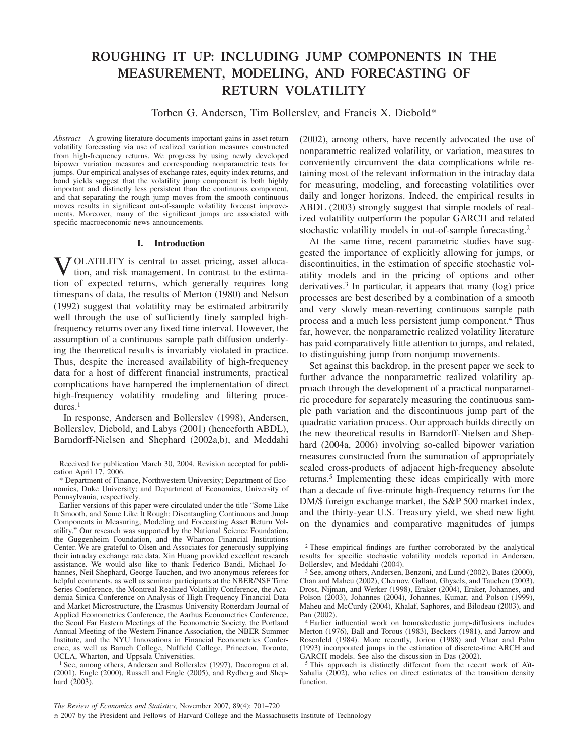# **ROUGHING IT UP: INCLUDING JUMP COMPONENTS IN THE MEASUREMENT, MODELING, AND FORECASTING OF RETURN VOLATILITY**

Torben G. Andersen, Tim Bollerslev, and Francis X. Diebold\*

*Abstract*—A growing literature documents important gains in asset return volatility forecasting via use of realized variation measures constructed from high-frequency returns. We progress by using newly developed bipower variation measures and corresponding nonparametric tests for jumps. Our empirical analyses of exchange rates, equity index returns, and bond yields suggest that the volatility jump component is both highly important and distinctly less persistent than the continuous component, and that separating the rough jump moves from the smooth continuous moves results in significant out-of-sample volatility forecast improvements. Moreover, many of the significant jumps are associated with specific macroeconomic news announcements.

## **I. Introduction**

VOLATILITY is central to asset pricing, asset allocation, and risk management. In contrast to the estimation of expected returns, which generally requires long timespans of data, the results of Merton (1980) and Nelson (1992) suggest that volatility may be estimated arbitrarily well through the use of sufficiently finely sampled highfrequency returns over any fixed time interval. However, the assumption of a continuous sample path diffusion underlying the theoretical results is invariably violated in practice. Thus, despite the increased availability of high-frequency data for a host of different financial instruments, practical complications have hampered the implementation of direct high-frequency volatility modeling and filtering procedures.1

In response, Andersen and Bollerslev (1998), Andersen, Bollerslev, Diebold, and Labys (2001) (henceforth ABDL), Barndorff-Nielsen and Shephard (2002a,b), and Meddahi

<sup>1</sup> See, among others, Andersen and Bollerslev (1997), Dacorogna et al. (2001), Engle (2000), Russell and Engle (2005), and Rydberg and Shephard (2003).

(2002), among others, have recently advocated the use of nonparametric realized volatility, or variation, measures to conveniently circumvent the data complications while retaining most of the relevant information in the intraday data for measuring, modeling, and forecasting volatilities over daily and longer horizons. Indeed, the empirical results in ABDL (2003) strongly suggest that simple models of realized volatility outperform the popular GARCH and related stochastic volatility models in out-of-sample forecasting.2

At the same time, recent parametric studies have suggested the importance of explicitly allowing for jumps, or discontinuities, in the estimation of specific stochastic volatility models and in the pricing of options and other derivatives.3 In particular, it appears that many (log) price processes are best described by a combination of a smooth and very slowly mean-reverting continuous sample path process and a much less persistent jump component.4 Thus far, however, the nonparametric realized volatility literature has paid comparatively little attention to jumps, and related, to distinguishing jump from nonjump movements.

Set against this backdrop, in the present paper we seek to further advance the nonparametric realized volatility approach through the development of a practical nonparametric procedure for separately measuring the continuous sample path variation and the discontinuous jump part of the quadratic variation process. Our approach builds directly on the new theoretical results in Barndorff-Nielsen and Shephard (2004a, 2006) involving so-called bipower variation measures constructed from the summation of appropriately scaled cross-products of adjacent high-frequency absolute returns.<sup>5</sup> Implementing these ideas empirically with more than a decade of five-minute high-frequency returns for the DM/\$ foreign exchange market, the S&P 500 market index, and the thirty-year U.S. Treasury yield, we shed new light on the dynamics and comparative magnitudes of jumps

Received for publication March 30, 2004. Revision accepted for publication April 17, 2006.

<sup>\*</sup> Department of Finance, Northwestern University; Department of Economics, Duke University; and Department of Economics, University of Pennsylvania, respectively.

Earlier versions of this paper were circulated under the title "Some Like It Smooth, and Some Like It Rough: Disentangling Continuous and Jump Components in Measuring, Modeling and Forecasting Asset Return Volatility." Our research was supported by the National Science Foundation, the Guggenheim Foundation, and the Wharton Financial Institutions Center. We are grateful to Olsen and Associates for generously supplying their intraday exchange rate data. Xin Huang provided excellent research assistance. We would also like to thank Federico Bandi, Michael Johannes, Neil Shephard, George Tauchen, and two anonymous referees for helpful comments, as well as seminar participants at the NBER/NSF Time Series Conference, the Montreal Realized Volatility Conference, the Academia Sinica Conference on Analysis of High-Frequency Financial Data and Market Microstructure, the Erasmus University Rotterdam Journal of Applied Econometrics Conference, the Aarhus Econometrics Conference, the Seoul Far Eastern Meetings of the Econometric Society, the Portland Annual Meeting of the Western Finance Association, the NBER Summer Institute, and the NYU Innovations in Financial Econometrics Conference, as well as Baruch College, Nuffield College, Princeton, Toronto, UCLA, Wharton, and Uppsala Universities.

<sup>2</sup> These empirical findings are further corroborated by the analytical results for specific stochastic volatility models reported in Andersen, Bollerslev, and Meddahi (2004).

<sup>3</sup> See, among others, Andersen, Benzoni, and Lund (2002), Bates (2000), Chan and Maheu (2002), Chernov, Gallant, Ghysels, and Tauchen (2003), Drost, Nijman, and Werker (1998), Eraker (2004), Eraker, Johannes, and Polson (2003), Johannes (2004), Johannes, Kumar, and Polson (1999), Maheu and McCurdy (2004), Khalaf, Saphores, and Bilodeau (2003), and Pan (2002).

<sup>4</sup> Earlier influential work on homoskedastic jump-diffusions includes Merton (1976), Ball and Torous (1983), Beckers (1981), and Jarrow and Rosenfeld (1984). More recently, Jorion (1988) and Vlaar and Palm (1993) incorporated jumps in the estimation of discrete-time ARCH and GARCH models. See also the discussion in Das (2002).

<sup>&</sup>lt;sup>5</sup> This approach is distinctly different from the recent work of Aït-Sahalia (2002), who relies on direct estimates of the transition density function.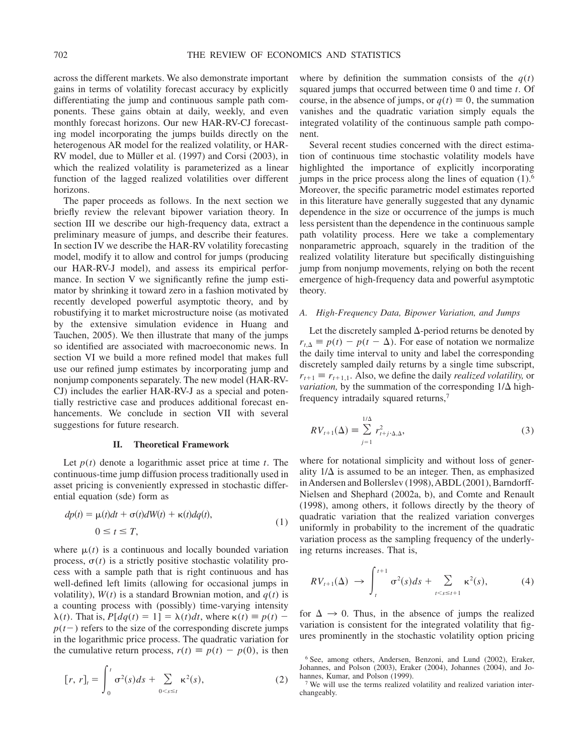across the different markets. We also demonstrate important gains in terms of volatility forecast accuracy by explicitly differentiating the jump and continuous sample path components. These gains obtain at daily, weekly, and even monthly forecast horizons. Our new HAR-RV-CJ forecasting model incorporating the jumps builds directly on the heterogenous AR model for the realized volatility, or HAR-RV model, due to Müller et al. (1997) and Corsi (2003), in which the realized volatility is parameterized as a linear function of the lagged realized volatilities over different horizons.

The paper proceeds as follows. In the next section we briefly review the relevant bipower variation theory. In section III we describe our high-frequency data, extract a preliminary measure of jumps, and describe their features. In section IV we describe the HAR-RV volatility forecasting model, modify it to allow and control for jumps (producing our HAR-RV-J model), and assess its empirical performance. In section V we significantly refine the jump estimator by shrinking it toward zero in a fashion motivated by recently developed powerful asymptotic theory, and by robustifying it to market microstructure noise (as motivated by the extensive simulation evidence in Huang and Tauchen, 2005). We then illustrate that many of the jumps so identified are associated with macroeconomic news. In section VI we build a more refined model that makes full use our refined jump estimates by incorporating jump and nonjump components separately. The new model (HAR-RV-CJ) includes the earlier HAR-RV-J as a special and potentially restrictive case and produces additional forecast enhancements. We conclude in section VII with several suggestions for future research.

#### **II. Theoretical Framework**

Let *p*(*t*) denote a logarithmic asset price at time *t*. The continuous-time jump diffusion process traditionally used in asset pricing is conveniently expressed in stochastic differential equation (sde) form as

$$
dp(t) = \mu(t)dt + \sigma(t)dW(t) + \kappa(t)dq(t),
$$
  
0 \le t \le T, (1)

where  $\mu(t)$  is a continuous and locally bounded variation process,  $\sigma(t)$  is a strictly positive stochastic volatility process with a sample path that is right continuous and has well-defined left limits (allowing for occasional jumps in volatility),  $W(t)$  is a standard Brownian motion, and  $q(t)$  is a counting process with (possibly) time-varying intensity  $\lambda(t)$ . That is,  $P[dq(t) = 1] = \lambda(t)dt$ , where  $\kappa(t) \equiv p(t)$  –  $p(t-)$  refers to the size of the corresponding discrete jumps in the logarithmic price process. The quadratic variation for the cumulative return process,  $r(t) \equiv p(t) - p(0)$ , is then

$$
[r, r]_t = \int_0^t \sigma^2(s)ds + \sum_{0 < s \le t} \kappa^2(s), \tag{2}
$$

where by definition the summation consists of the  $q(t)$ squared jumps that occurred between time 0 and time *t*. Of course, in the absence of jumps, or  $q(t) \equiv 0$ , the summation vanishes and the quadratic variation simply equals the integrated volatility of the continuous sample path component.

Several recent studies concerned with the direct estimation of continuous time stochastic volatility models have highlighted the importance of explicitly incorporating jumps in the price process along the lines of equation  $(1)$ .<sup>6</sup> Moreover, the specific parametric model estimates reported in this literature have generally suggested that any dynamic dependence in the size or occurrence of the jumps is much less persistent than the dependence in the continuous sample path volatility process. Here we take a complementary nonparametric approach, squarely in the tradition of the realized volatility literature but specifically distinguishing jump from nonjump movements, relying on both the recent emergence of high-frequency data and powerful asymptotic theory.

## *A. High-Frequency Data, Bipower Variation, and Jumps*

Let the discretely sampled  $\Delta$ -period returns be denoted by  $r_{t,\Delta} \equiv p(t) - p(t - \Delta)$ . For ease of notation we normalize the daily time interval to unity and label the corresponding discretely sampled daily returns by a single time subscript,  $r_{t+1} \equiv r_{t+1,1}$ . Also, we define the daily *realized volatility*, or *variation*, by the summation of the corresponding  $1/\Delta$  highfrequency intradaily squared returns,7

$$
RV_{t+1}(\Delta) \equiv \sum_{j=1}^{1/\Delta} r_{t+j \cdot \Delta, \Delta}^2,
$$
 (3)

where for notational simplicity and without loss of generality  $1/\Delta$  is assumed to be an integer. Then, as emphasized in Andersen and Bollerslev (1998), ABDL (2001), Barndorff-Nielsen and Shephard (2002a, b), and Comte and Renault (1998), among others, it follows directly by the theory of quadratic variation that the realized variation converges uniformly in probability to the increment of the quadratic variation process as the sampling frequency of the underlying returns increases. That is,

$$
RV_{t+1}(\Delta) \rightarrow \int_{t}^{t+1} \sigma^2(s)ds + \sum_{t \leq s \leq t+1} \kappa^2(s), \qquad (4)
$$

for  $\Delta \rightarrow 0$ . Thus, in the absence of jumps the realized variation is consistent for the integrated volatility that figures prominently in the stochastic volatility option pricing

<sup>6</sup> See, among others, Andersen, Benzoni, and Lund (2002), Eraker, Johannes, and Polson (2003), Eraker (2004), Johannes (2004), and Johannes, Kumar, and Polson (1999).

<sup>7</sup> We will use the terms realized volatility and realized variation interchangeably.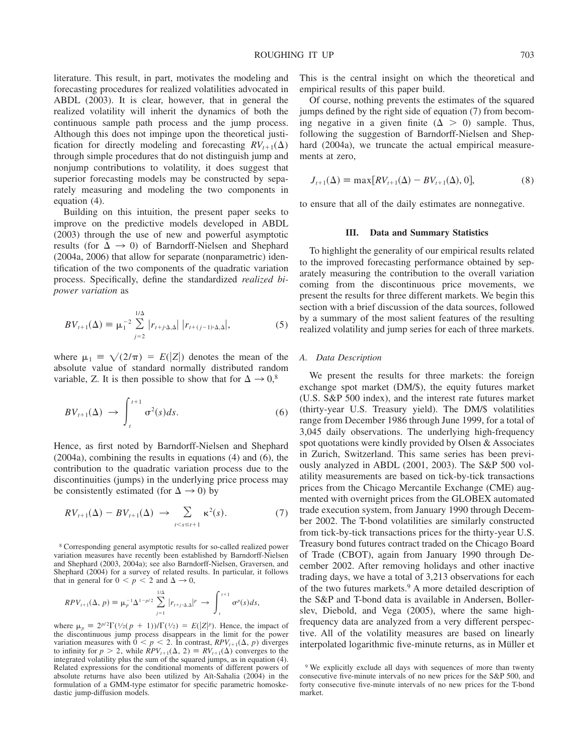literature. This result, in part, motivates the modeling and forecasting procedures for realized volatilities advocated in ABDL (2003). It is clear, however, that in general the realized volatility will inherit the dynamics of both the continuous sample path process and the jump process. Although this does not impinge upon the theoretical justification for directly modeling and forecasting  $RV_{t+1}(\Delta)$ through simple procedures that do not distinguish jump and nonjump contributions to volatility, it does suggest that superior forecasting models may be constructed by separately measuring and modeling the two components in equation (4).

Building on this intuition, the present paper seeks to improve on the predictive models developed in ABDL (2003) through the use of new and powerful asymptotic results (for  $\Delta \rightarrow 0$ ) of Barndorff-Nielsen and Shephard (2004a, 2006) that allow for separate (nonparametric) identification of the two components of the quadratic variation process. Specifically, define the standardized *realized bipower variation* as

$$
BV_{t+1}(\Delta) \equiv \mu_1^{-2} \sum_{j=2}^{1/\Delta} |r_{t+j\Delta,\Delta}| \left| r_{t+(j-1)\Delta,\Delta} \right|, \tag{5}
$$

where  $\mu_1 = \sqrt{2/\pi} = E(|Z|)$  denotes the mean of the absolute value of standard normally distributed random variable, Z. It is then possible to show that for  $\Delta \rightarrow 0$ ,<sup>8</sup>

$$
BV_{t+1}(\Delta) \rightarrow \int_{t}^{t+1} \sigma^2(s)ds.
$$
 (6)

Hence, as first noted by Barndorff-Nielsen and Shephard (2004a), combining the results in equations (4) and (6), the contribution to the quadratic variation process due to the discontinuities (jumps) in the underlying price process may be consistently estimated (for  $\Delta \rightarrow 0$ ) by

$$
RV_{t+1}(\Delta) - BV_{t+1}(\Delta) \rightarrow \sum_{t < s \leq t+1} \kappa^2(s). \tag{7}
$$

<sup>8</sup> Corresponding general asymptotic results for so-called realized power variation measures have recently been established by Barndorff-Nielsen and Shephard (2003, 2004a); see also Barndorff-Nielsen, Graversen, and Shephard (2004) for a survey of related results. In particular, it follows that in general for  $0 \le p \le 2$  and  $\Delta \to 0$ ,

$$
RPV_{t+1}(\Delta, p) \equiv \mu_p^{-1} \Delta^{1-p/2} \sum_{j=1}^{1/\Delta} |r_{t+j} \cdot \Delta \Delta}|^p \rightarrow \int_{t}^{t+1} \sigma^p(s) ds,
$$

where  $\mu_p = 2^{p/2} \Gamma(\frac{1}{2}(p + 1)) / \Gamma(\frac{1}{2}) = E(|Z|^p)$ . Hence, the impact of the discontinuous jump process disappears in the limit for the power variation measures with  $0 < p < 2$ . In contrast, *RPV<sub>t+1</sub>*( $\Delta$ , *p*) diverges to infinity for  $p > 2$ , while  $\overline{RPV}_{t+1}(\Delta, 2) = \overline{RV}_{t+1}(\Delta)$  converges to the integrated volatility plus the sum of the squared jumps, as in equation (4). Related expressions for the conditional moments of different powers of absolute returns have also been utilized by Aït-Sahalia (2004) in the formulation of a GMM-type estimator for specific parametric homoskedastic jump-diffusion models.

This is the central insight on which the theoretical and empirical results of this paper build.

Of course, nothing prevents the estimates of the squared jumps defined by the right side of equation (7) from becoming negative in a given finite  $(\Delta > 0)$  sample. Thus, following the suggestion of Barndorff-Nielsen and Shephard (2004a), we truncate the actual empirical measurements at zero,

$$
J_{t+1}(\Delta) \equiv \max[RV_{t+1}(\Delta) - BV_{t+1}(\Delta), 0],\tag{8}
$$

to ensure that all of the daily estimates are nonnegative.

## **III. Data and Summary Statistics**

To highlight the generality of our empirical results related to the improved forecasting performance obtained by separately measuring the contribution to the overall variation coming from the discontinuous price movements, we present the results for three different markets. We begin this section with a brief discussion of the data sources, followed by a summary of the most salient features of the resulting realized volatility and jump series for each of three markets.

## *A. Data Description*

We present the results for three markets: the foreign exchange spot market (DM/\$), the equity futures market (U.S. S&P 500 index), and the interest rate futures market (thirty-year U.S. Treasury yield). The DM/\$ volatilities range from December 1986 through June 1999, for a total of 3,045 daily observations. The underlying high-frequency spot quotations were kindly provided by Olsen & Associates in Zurich, Switzerland. This same series has been previously analyzed in ABDL (2001, 2003). The S&P 500 volatility measurements are based on tick-by-tick transactions prices from the Chicago Mercantile Exchange (CME) augmented with overnight prices from the GLOBEX automated trade execution system, from January 1990 through December 2002. The T-bond volatilities are similarly constructed from tick-by-tick transactions prices for the thirty-year U.S. Treasury bond futures contract traded on the Chicago Board of Trade (CBOT), again from January 1990 through December 2002. After removing holidays and other inactive trading days, we have a total of 3,213 observations for each of the two futures markets.9 A more detailed description of the S&P and T-bond data is available in Andersen, Bollerslev, Diebold, and Vega (2005), where the same highfrequency data are analyzed from a very different perspective. All of the volatility measures are based on linearly interpolated logarithmic five-minute returns, as in Müller et

<sup>&</sup>lt;sup>9</sup> We explicitly exclude all days with sequences of more than twenty consecutive five-minute intervals of no new prices for the S&P 500, and forty consecutive five-minute intervals of no new prices for the T-bond market.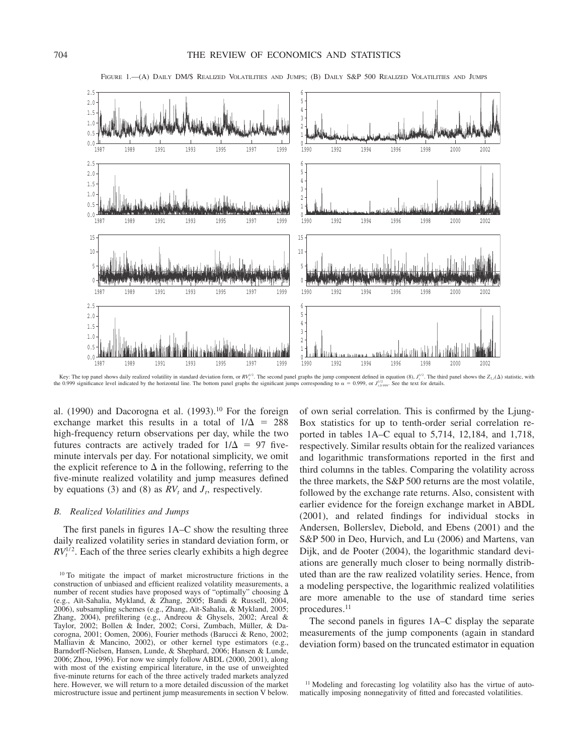

FIGURE 1.—(A) DAILY DM/\$ REALIZED VOLATILITIES AND JUMPS; (B) DAILY S&P 500 REALIZED VOLATILITIES AND JUMPS

Key: The top panel shows daily realized volatility in standard deviation form, or  $RV_i^{1/2}$ . The second panel graphs the jump component defined in equation (8),  $J_i^{1/2}$ . The third panel shows the  $Z_{1,i}(\Delta)$  statistic, w the 0.999 significance level indicated by the horizontal line. The bottom panel graphs the significant jumps corresponding to  $\alpha = 0.999$ , or  $J_{t,0.999}^{1/2}$ . See the text for details.

al. (1990) and Dacorogna et al. (1993).<sup>10</sup> For the foreign exchange market this results in a total of  $1/\Delta$  = 288 high-frequency return observations per day, while the two futures contracts are actively traded for  $1/\Delta = 97$  fiveminute intervals per day. For notational simplicity, we omit the explicit reference to  $\Delta$  in the following, referring to the five-minute realized volatility and jump measures defined by equations (3) and (8) as  $RV_t$  and  $J_t$ , respectively.

## *B. Realized Volatilities and Jumps*

The first panels in figures 1A–C show the resulting three daily realized volatility series in standard deviation form, or  $RV<sub>t</sub><sup>1/2</sup>$ . Each of the three series clearly exhibits a high degree

of own serial correlation. This is confirmed by the Ljung-Box statistics for up to tenth-order serial correlation reported in tables 1A–C equal to 5,714, 12,184, and 1,718, respectively. Similar results obtain for the realized variances and logarithmic transformations reported in the first and third columns in the tables. Comparing the volatility across the three markets, the S&P 500 returns are the most volatile, followed by the exchange rate returns. Also, consistent with earlier evidence for the foreign exchange market in ABDL (2001), and related findings for individual stocks in Andersen, Bollerslev, Diebold, and Ebens (2001) and the S&P 500 in Deo, Hurvich, and Lu (2006) and Martens, van Dijk, and de Pooter (2004), the logarithmic standard deviations are generally much closer to being normally distributed than are the raw realized volatility series. Hence, from a modeling perspective, the logarithmic realized volatilities are more amenable to the use of standard time series procedures.11

The second panels in figures 1A–C display the separate measurements of the jump components (again in standard deviation form) based on the truncated estimator in equation

<sup>11</sup> Modeling and forecasting log volatility also has the virtue of automatically imposing nonnegativity of fitted and forecasted volatilities.

<sup>10</sup> To mitigate the impact of market microstructure frictions in the construction of unbiased and efficient realized volatility measurements, a number of recent studies have proposed ways of "optimally" choosing  $\Delta$ (e.g., Aït-Sahalia, Mykland, & Zhang, 2005; Bandi & Russell, 2004, 2006), subsampling schemes (e.g., Zhang, Aït-Sahalia, & Mykland, 2005; Zhang, 2004), prefiltering (e.g., Andreou & Ghysels, 2002; Areal & Taylor, 2002; Bollen & Inder, 2002; Corsi, Zumbach, Müller, & Dacorogna, 2001; Oomen, 2006), Fourier methods (Barucci & Reno, 2002; Malliavin & Mancino, 2002), or other kernel type estimators (e.g., Barndorff-Nielsen, Hansen, Lunde, & Shephard, 2006; Hansen & Lunde, 2006; Zhou, 1996). For now we simply follow ABDL (2000, 2001), along with most of the existing empirical literature, in the use of unweighted five-minute returns for each of the three actively traded markets analyzed here. However, we will return to a more detailed discussion of the market microstructure issue and pertinent jump measurements in section V below.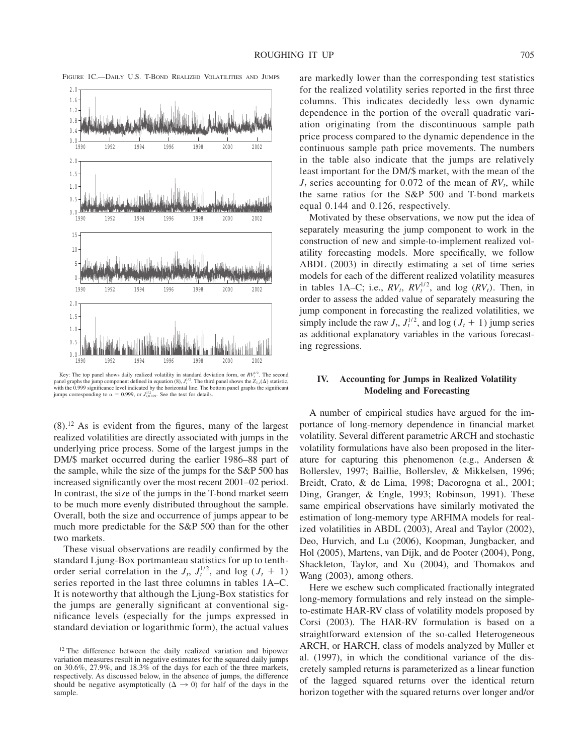

Key: The top panel shows daily realized volatility in standard deviation form, or  $RV_i^{1/2}$ . The second panel graphs the jump component defined in equation (8),  $J_i^{1/2}$ . The third panel shows the  $Z_{1,i}(\Delta)$  statistic, with the 0.999 significance level indicated by the horizontal line. The bottom panel graphs the significant jumps corresponding to  $\alpha = 0.999$ , or  $J_{t,0.999}^{1/2}$ . See the text for details.

(8).12 As is evident from the figures, many of the largest realized volatilities are directly associated with jumps in the underlying price process. Some of the largest jumps in the DM/\$ market occurred during the earlier 1986–88 part of the sample, while the size of the jumps for the S&P 500 has increased significantly over the most recent 2001–02 period. In contrast, the size of the jumps in the T-bond market seem to be much more evenly distributed throughout the sample. Overall, both the size and occurrence of jumps appear to be much more predictable for the S&P 500 than for the other two markets.

These visual observations are readily confirmed by the standard Ljung-Box portmanteau statistics for up to tenthorder serial correlation in the  $J_t$ ,  $J_t^{1/2}$ , and log ( $J_t + 1$ ) series reported in the last three columns in tables 1A–C. It is noteworthy that although the Ljung-Box statistics for the jumps are generally significant at conventional significance levels (especially for the jumps expressed in standard deviation or logarithmic form), the actual values are markedly lower than the corresponding test statistics for the realized volatility series reported in the first three columns. This indicates decidedly less own dynamic dependence in the portion of the overall quadratic variation originating from the discontinuous sample path price process compared to the dynamic dependence in the continuous sample path price movements. The numbers in the table also indicate that the jumps are relatively least important for the DM/\$ market, with the mean of the  $J_t$  series accounting for 0.072 of the mean of  $RV_t$ , while the same ratios for the S&P 500 and T-bond markets equal 0.144 and 0.126, respectively.

Motivated by these observations, we now put the idea of separately measuring the jump component to work in the construction of new and simple-to-implement realized volatility forecasting models. More specifically, we follow ABDL (2003) in directly estimating a set of time series models for each of the different realized volatility measures in tables 1A–C; i.e.,  $RV_t$ ,  $RV_t^{1/2}$ , and log  $(RV_t)$ . Then, in order to assess the added value of separately measuring the jump component in forecasting the realized volatilities, we simply include the raw  $J_t$ ,  $J_t^{1/2}$ , and log ( $J_t + 1$ ) jump series as additional explanatory variables in the various forecasting regressions.

# **IV. Accounting for Jumps in Realized Volatility Modeling and Forecasting**

A number of empirical studies have argued for the importance of long-memory dependence in financial market volatility. Several different parametric ARCH and stochastic volatility formulations have also been proposed in the literature for capturing this phenomenon (e.g., Andersen & Bollerslev, 1997; Baillie, Bollerslev, & Mikkelsen, 1996; Breidt, Crato, & de Lima, 1998; Dacorogna et al., 2001; Ding, Granger, & Engle, 1993; Robinson, 1991). These same empirical observations have similarly motivated the estimation of long-memory type ARFIMA models for realized volatilities in ABDL (2003), Areal and Taylor (2002), Deo, Hurvich, and Lu (2006), Koopman, Jungbacker, and Hol (2005), Martens, van Dijk, and de Pooter (2004), Pong, Shackleton, Taylor, and Xu (2004), and Thomakos and Wang (2003), among others.

Here we eschew such complicated fractionally integrated long-memory formulations and rely instead on the simpleto-estimate HAR-RV class of volatility models proposed by Corsi (2003). The HAR-RV formulation is based on a straightforward extension of the so-called Heterogeneous ARCH, or HARCH, class of models analyzed by Müller et al. (1997), in which the conditional variance of the discretely sampled returns is parameterized as a linear function of the lagged squared returns over the identical return horizon together with the squared returns over longer and/or

<sup>&</sup>lt;sup>12</sup> The difference between the daily realized variation and bipower variation measures result in negative estimates for the squared daily jumps on 30.6%, 27.9%, and 18.3% of the days for each of the three markets, respectively. As discussed below, in the absence of jumps, the difference should be negative asymptotically  $(\Delta \rightarrow 0)$  for half of the days in the sample.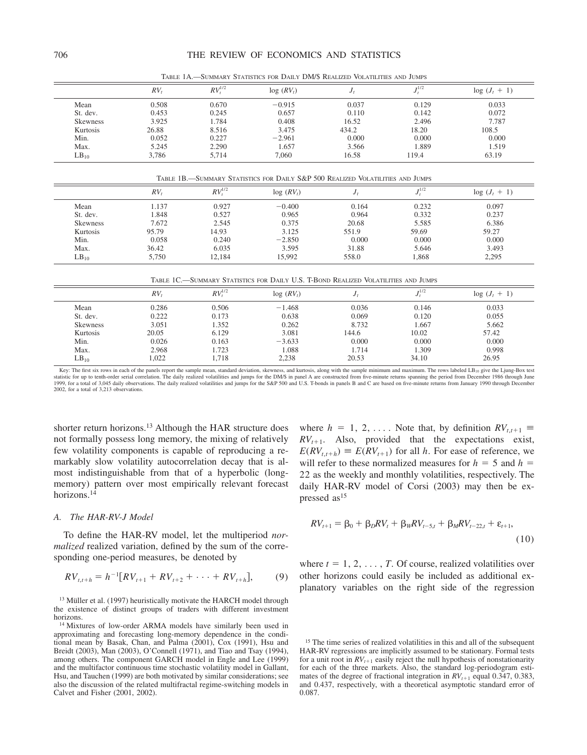|                 | RV <sub>t</sub> | $RV_t^{1/2}$ | $log(RV_t)$ | J.    | r1/2<br>$\cdot$ | $log (J_t + 1)$ |
|-----------------|-----------------|--------------|-------------|-------|-----------------|-----------------|
| Mean            | 0.508           | 0.670        | $-0.915$    | 0.037 | 0.129           | 0.033           |
| St. dev.        | 0.453           | 0.245        | 0.657       | 0.110 | 0.142           | 0.072           |
| <b>Skewness</b> | 3.925           | .784         | 0.408       | 16.52 | 2.496           | 7.787           |
| Kurtosis        | 26.88           | 8.516        | 3.475       | 434.2 | 18.20           | 108.5           |
| Min.            | 0.052           | 0.227        | $-2.961$    | 0.000 | 0.000           | 0.000           |
| Max.            | 5.245           | 2.290        | 1.657       | 3.566 | 1.889           | 1.519           |
| $LB_{10}$       | 3.786           | 5.714        | 7.060       | 16.58 | 119.4           | 63.19           |

TABLE 1A.—SUMMARY STATISTICS FOR DAILY DM/\$ REALIZED VOLATILITIES AND JUMPS

TABLE 1B.—SUMMARY STATISTICS FOR DAILY S&P 500 REALIZED VOLATILITIES AND JUMPS

|                 | RV <sub>t</sub> | $RV_t^{1/2}$ | log (RV <sub>t</sub> ) |       | r1/2  | $log (J_t + 1)$ |
|-----------------|-----------------|--------------|------------------------|-------|-------|-----------------|
| Mean            | 1.137           | 0.927        | $-0.400$               | 0.164 | 0.232 | 0.097           |
| St. dev.        | 1.848           | 0.527        | 0.965                  | 0.964 | 0.332 | 0.237           |
| <b>Skewness</b> | 7.672           | 2.545        | 0.375                  | 20.68 | 5.585 | 6.386           |
| Kurtosis        | 95.79           | 14.93        | 3.125                  | 551.9 | 59.69 | 59.27           |
| Min.            | 0.058           | 0.240        | $-2.850$               | 0.000 | 0.000 | 0.000           |
| Max.            | 36.42           | 6.035        | 3.595                  | 31.88 | 5.646 | 3.493           |
| $LB_{10}$       | 5,750           | 12.184       | 15,992                 | 558.0 | 1,868 | 2,295           |

| TABLE 1C.—SUMMARY STATISTICS FOR DAILY U.S. T-BOND REALIZED VOLATILITIES AND JUMPS |  |  |  |
|------------------------------------------------------------------------------------|--|--|--|
|------------------------------------------------------------------------------------|--|--|--|

|                 | RV,   | $RV^{1/2}$ | log (RV <sub>t</sub> ) | $J$ : | r1/2  | $log (J_t + 1)$ |
|-----------------|-------|------------|------------------------|-------|-------|-----------------|
| Mean            | 0.286 | 0.506      | $-1.468$               | 0.036 | 0.146 | 0.033           |
| St. dev.        | 0.222 | 0.173      | 0.638                  | 0.069 | 0.120 | 0.055           |
| <b>Skewness</b> | 3.051 | 1.352      | 0.262                  | 8.732 | .667  | 5.662           |
| Kurtosis        | 20.05 | 6.129      | 3.081                  | 144.6 | 10.02 | 57.42           |
| Min.            | 0.026 | 0.163      | $-3.633$               | 0.000 | 0.000 | 0.000           |
| Max.            | 2.968 | 1.723      | 1.088                  | 1.714 | .309  | 0.998           |
| $LB_{10}$       | 1.022 | 1,718      | 2,238                  | 20.53 | 34.10 | 26.95           |

Key: The first six rows in each of the panels report the sample mean, standard deviation, skewness, and kurtosis, along with the sample minimum and maximum. The rows labeled LB<sub>10</sub> give the Ljung-Box test statistic for up to tenth-order serial correlation. The daily realized volatilities and jumps for the DM/\$ in panel A are constructed from five-minute returns spanning the period from December 1986 through June 1999, for a total of 3,045 daily observations. The daily realized volatilities and jumps for the S&P 500 and U.S. T-bonds in panels B and C are based on five-minute returns from January 1990 through December 2002, for a total of 3,213 observations.

shorter return horizons.<sup>13</sup> Although the HAR structure does not formally possess long memory, the mixing of relatively few volatility components is capable of reproducing a remarkably slow volatility autocorrelation decay that is almost indistinguishable from that of a hyperbolic (longmemory) pattern over most empirically relevant forecast horizons.14

## *A. The HAR-RV-J Model*

To define the HAR-RV model, let the multiperiod *normalized* realized variation, defined by the sum of the corresponding one-period measures, be denoted by

$$
RV_{t,t+h} = h^{-1}[RV_{t+1} + RV_{t+2} + \cdots + RV_{t+h}], \tag{9}
$$

 $13$  Müller et al. (1997) heuristically motivate the HARCH model through the existence of distinct groups of traders with different investment horizons.

where  $h = 1, 2, \ldots$ . Note that, by definition  $RV_{t,t+1} \equiv$  $RV_{t+1}$ . Also, provided that the expectations exist,  $E(RV_{t,t+h}) \equiv E(RV_{t+1})$  for all *h*. For ease of reference, we will refer to these normalized measures for  $h = 5$  and  $h =$ 22 as the weekly and monthly volatilities, respectively. The daily HAR-RV model of Corsi (2003) may then be expressed as<sup>15</sup>

$$
RV_{t+1} = \beta_0 + \beta_D RV_t + \beta_W RV_{t-5,t} + \beta_M RV_{t-22,t} + \varepsilon_{t+1},
$$
\n(10)

where  $t = 1, 2, \ldots, T$ . Of course, realized volatilities over other horizons could easily be included as additional explanatory variables on the right side of the regression

<sup>14</sup> Mixtures of low-order ARMA models have similarly been used in approximating and forecasting long-memory dependence in the conditional mean by Basak, Chan, and Palma (2001), Cox (1991), Hsu and Breidt (2003), Man (2003), O'Connell (1971), and Tiao and Tsay (1994), among others. The component GARCH model in Engle and Lee (1999) and the multifactor continuous time stochastic volatility model in Gallant, Hsu, and Tauchen (1999) are both motivated by similar considerations; see also the discussion of the related multifractal regime-switching models in Calvet and Fisher (2001, 2002).

<sup>&</sup>lt;sup>15</sup> The time series of realized volatilities in this and all of the subsequent HAR-RV regressions are implicitly assumed to be stationary. Formal tests for a unit root in  $RV_{t+1}$  easily reject the null hypothesis of nonstationarity for each of the three markets. Also, the standard log-periodogram estimates of the degree of fractional integration in  $RV_{t+1}$  equal 0.347, 0.383, and 0.437, respectively, with a theoretical asymptotic standard error of 0.087.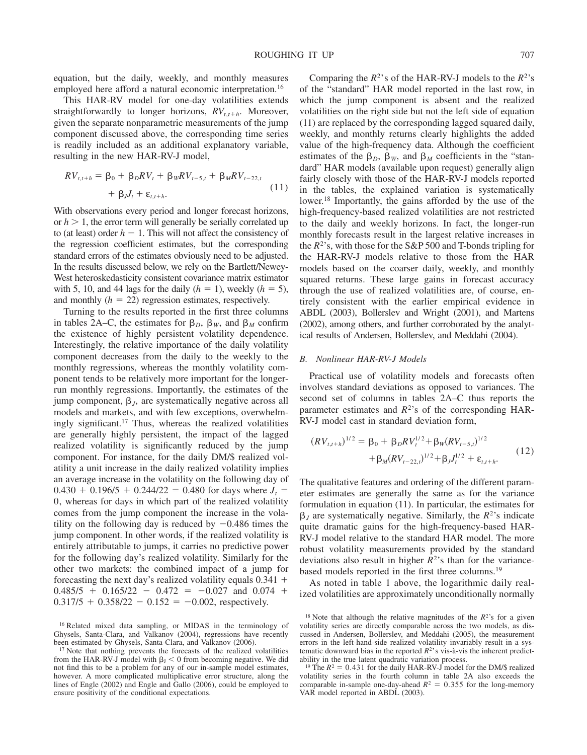equation, but the daily, weekly, and monthly measures employed here afford a natural economic interpretation.<sup>16</sup>

This HAR-RV model for one-day volatilities extends straightforwardly to longer horizons,  $RV_{t,t+h}$ . Moreover, given the separate nonparametric measurements of the jump component discussed above, the corresponding time series is readily included as an additional explanatory variable, resulting in the new HAR-RV-J model,

$$
RV_{t,t+h} = \beta_0 + \beta_D RV_t + \beta_W RV_{t-5,t} + \beta_M RV_{t-22,t} + \beta_J J_t + \varepsilon_{t,t+h}.
$$
 (11)

With observations every period and longer forecast horizons, or  $h > 1$ , the error term will generally be serially correlated up to (at least) order  $h - 1$ . This will not affect the consistency of the regression coefficient estimates, but the corresponding standard errors of the estimates obviously need to be adjusted. In the results discussed below, we rely on the Bartlett/Newey-West heteroskedasticity consistent covariance matrix estimator with 5, 10, and 44 lags for the daily  $(h = 1)$ , weekly  $(h = 5)$ , and monthly  $(h = 22)$  regression estimates, respectively.

Turning to the results reported in the first three columns in tables 2A–C, the estimates for  $\beta_D$ ,  $\beta_W$ , and  $\beta_M$  confirm the existence of highly persistent volatility dependence. Interestingly, the relative importance of the daily volatility component decreases from the daily to the weekly to the monthly regressions, whereas the monthly volatility component tends to be relatively more important for the longerrun monthly regressions. Importantly, the estimates of the jump component,  $\beta_{J}$ , are systematically negative across all models and markets, and with few exceptions, overwhelmingly significant.17 Thus, whereas the realized volatilities are generally highly persistent, the impact of the lagged realized volatility is significantly reduced by the jump component. For instance, for the daily DM/\$ realized volatility a unit increase in the daily realized volatility implies an average increase in the volatility on the following day of  $0.430 + 0.196/5 + 0.244/22 = 0.480$  for days where  $J_t =$ 0, whereas for days in which part of the realized volatility comes from the jump component the increase in the volatility on the following day is reduced by  $-0.486$  times the jump component. In other words, if the realized volatility is entirely attributable to jumps, it carries no predictive power for the following day's realized volatility. Similarly for the other two markets: the combined impact of a jump for forecasting the next day's realized volatility equals  $0.341 +$  $0.485/5 + 0.165/22 - 0.472 = -0.027$  and  $0.074 +$  $0.317/5 + 0.358/22 - 0.152 = -0.002$ , respectively.

Comparing the  $R^2$ 's of the HAR-RV-J models to the  $R^2$ 's of the "standard" HAR model reported in the last row, in which the jump component is absent and the realized volatilities on the right side but not the left side of equation (11) are replaced by the corresponding lagged squared daily, weekly, and monthly returns clearly highlights the added value of the high-frequency data. Although the coefficient estimates of the  $\beta_D$ ,  $\beta_W$ , and  $\beta_M$  coefficients in the "standard" HAR models (available upon request) generally align fairly closely with those of the HAR-RV-J models reported in the tables, the explained variation is systematically lower.18 Importantly, the gains afforded by the use of the high-frequency-based realized volatilities are not restricted to the daily and weekly horizons. In fact, the longer-run monthly forecasts result in the largest relative increases in the *R*2's, with those for the S&P 500 and T-bonds tripling for the HAR-RV-J models relative to those from the HAR models based on the coarser daily, weekly, and monthly squared returns. These large gains in forecast accuracy through the use of realized volatilities are, of course, entirely consistent with the earlier empirical evidence in ABDL (2003), Bollerslev and Wright (2001), and Martens (2002), among others, and further corroborated by the analytical results of Andersen, Bollerslev, and Meddahi (2004).

## *B. Nonlinear HAR-RV-J Models*

Practical use of volatility models and forecasts often involves standard deviations as opposed to variances. The second set of columns in tables 2A–C thus reports the parameter estimates and  $R^2$ 's of the corresponding HAR-RV-J model cast in standard deviation form,

$$
(RV_{t,t+h})^{1/2} = \beta_0 + \beta_D RV_t^{1/2} + \beta_W (RV_{t-5,t})^{1/2}
$$
  
+ 
$$
\beta_M (RV_{t-22,t})^{1/2} + \beta_J J_t^{1/2} + \varepsilon_{t,t+h}.
$$
 (12)

The qualitative features and ordering of the different parameter estimates are generally the same as for the variance formulation in equation (11). In particular, the estimates for  $\beta$ <sub>*J*</sub> are systematically negative. Similarly, the  $R^2$ 's indicate quite dramatic gains for the high-frequency-based HAR-RV-J model relative to the standard HAR model. The more robust volatility measurements provided by the standard deviations also result in higher *R*2's than for the variancebased models reported in the first three columns.19

As noted in table 1 above, the logarithmic daily realized volatilities are approximately unconditionally normally

<sup>16</sup> Related mixed data sampling, or MIDAS in the terminology of Ghysels, Santa-Clara, and Valkanov (2004), regressions have recently been estimated by Ghysels, Santa-Clara, and Valkanov (2006).

<sup>&</sup>lt;sup>17</sup> Note that nothing prevents the forecasts of the realized volatilities from the HAR-RV-J model with  $\beta_1 < 0$  from becoming negative. We did not find this to be a problem for any of our in-sample model estimates, however. A more complicated multiplicative error structure, along the lines of Engle (2002) and Engle and Gallo (2006), could be employed to ensure positivity of the conditional expectations.

<sup>&</sup>lt;sup>18</sup> Note that although the relative magnitudes of the  $R^2$ 's for a given volatility series are directly comparable across the two models, as discussed in Andersen, Bollerslev, and Meddahi (2005), the measurement errors in the left-hand-side realized volatility invariably result in a systematic downward bias in the reported  $R^2$ 's vis-à-vis the inherent predictability in the true latent quadratic variation process.

<sup>&</sup>lt;sup>19</sup> The  $R^2 = 0.431$  for the daily HAR-RV-J model for the DM/\$ realized volatility series in the fourth column in table 2A also exceeds the comparable in-sample one-day-ahead  $R^2 = 0.355$  for the long-memory VAR model reported in ABDL (2003).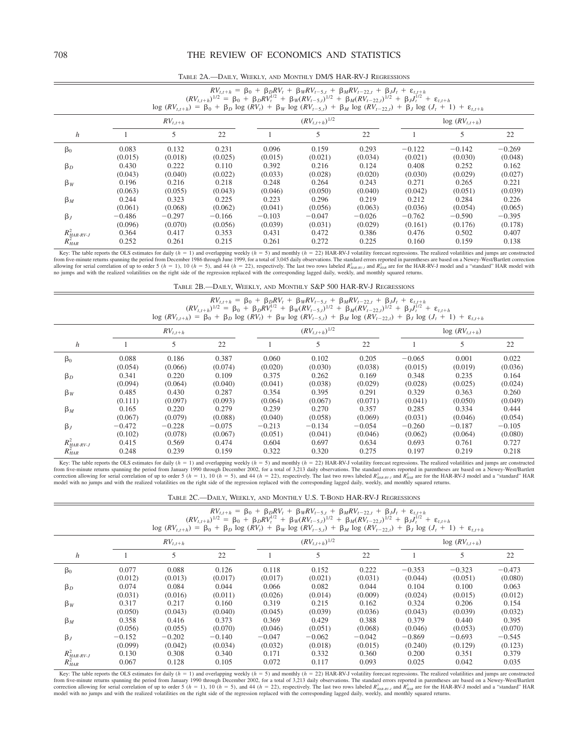| $RV_{t,t+h} = \beta_0 + \beta_D RV_t + \beta_W RV_{t-5,t} + \beta_M RV_{t-22,t} + \beta_J J_t + \varepsilon_{t,t+h}$<br>$(RV_{t,t+h})^{1/2} = \beta_0 + \beta_D RV_t^{1/2} + \beta_W (RV_{t-5,t})^{1/2} + \beta_M (RV_{t-22,t})^{1/2} + \beta_J J_t^{1/2} + \varepsilon_{t,t+h}$<br>$\log (RV_{t,t+h}) = \beta_0 + \beta_D \log (RV_t) + \beta_W \log (RV_{t-5,t}) + \beta_M \log (RV_{t-22,t}) + \beta_L \log (J_t + 1) + \epsilon_{t,t+h}$ |          |              |          |          |                      |          |          |                   |          |
|----------------------------------------------------------------------------------------------------------------------------------------------------------------------------------------------------------------------------------------------------------------------------------------------------------------------------------------------------------------------------------------------------------------------------------------------|----------|--------------|----------|----------|----------------------|----------|----------|-------------------|----------|
|                                                                                                                                                                                                                                                                                                                                                                                                                                              |          | $RV_{t,t+h}$ |          |          | $(RV_{t,t+h})^{1/2}$ |          |          | $log(RV_{t,t+h})$ |          |
| $\boldsymbol{h}$                                                                                                                                                                                                                                                                                                                                                                                                                             |          | 5            | 22       |          | 5                    | 22       |          | 5                 | 22       |
| $\beta_0$                                                                                                                                                                                                                                                                                                                                                                                                                                    | 0.083    | 0.132        | 0.231    | 0.096    | 0.159                | 0.293    | $-0.122$ | $-0.142$          | $-0.269$ |
|                                                                                                                                                                                                                                                                                                                                                                                                                                              | (0.015)  | (0.018)      | (0.025)  | (0.015)  | (0.021)              | (0.034)  | (0.021)  | (0.030)           | (0.048)  |
| $\beta_D$                                                                                                                                                                                                                                                                                                                                                                                                                                    | 0.430    | 0.222        | 0.110    | 0.392    | 0.216                | 0.124    | 0.408    | 0.252             | 0.162    |
|                                                                                                                                                                                                                                                                                                                                                                                                                                              | (0.043)  | (0.040)      | (0.022)  | (0.033)  | (0.028)              | (0.020)  | (0.030)  | (0.029)           | (0.027)  |
| $\beta_W$                                                                                                                                                                                                                                                                                                                                                                                                                                    | 0.196    | 0.216        | 0.218    | 0.248    | 0.264                | 0.243    | 0.271    | 0.265             | 0.221    |
|                                                                                                                                                                                                                                                                                                                                                                                                                                              | (0.063)  | (0.055)      | (0.043)  | (0.046)  | (0.050)              | (0.040)  | (0.042)  | (0.051)           | (0.039)  |
| $\beta_M$                                                                                                                                                                                                                                                                                                                                                                                                                                    | 0.244    | 0.323        | 0.225    | 0.223    | 0.296                | 0.219    | 0.212    | 0.284             | 0.226    |
|                                                                                                                                                                                                                                                                                                                                                                                                                                              | (0.061)  | (0.068)      | (0.062)  | (0.041)  | (0.056)              | (0.063)  | (0.036)  | (0.054)           | (0.065)  |
| $\beta_J$                                                                                                                                                                                                                                                                                                                                                                                                                                    | $-0.486$ | $-0.297$     | $-0.166$ | $-0.103$ | $-0.047$             | $-0.026$ | $-0.762$ | $-0.590$          | $-0.395$ |
|                                                                                                                                                                                                                                                                                                                                                                                                                                              | (0.096)  | (0.070)      | (0.056)  | (0.039)  | (0.031)              | (0.029)  | (0.161)  | (0.176)           | (0.178)  |
| $R^2_{HAR-RV-J}$                                                                                                                                                                                                                                                                                                                                                                                                                             | 0.364    | 0.417        | 0.353    | 0.431    | 0.472                | 0.386    | 0.476    | 0.502             | 0.407    |
| $R_{HAR}^2$                                                                                                                                                                                                                                                                                                                                                                                                                                  | 0.252    | 0.261        | 0.215    | 0.261    | 0.272                | 0.225    | 0.160    | 0.159             | 0.138    |

TABLE 2A.—DAILY, WEEKLY, AND MONTHLY DM/\$ HAR-RV-J REGRESSIONS

Key: The table reports the OLS estimates for daily  $(h = 1)$  and overlapping weekly  $(h = 5)$  and monthly  $(h = 22)$  HAR-RV-J volatility forecast regressions. The realized volatilities and jumps are constructed from five-minute allowing for serial correlation of up to order 5 ( $h = 1$ ), 10 ( $h = 5$ ), and 44 ( $h = 22$ ), respectively. The last two rows labeled  $R_{HaR,RV,J}^2$  and  $R_{HaR}^2$  are for the HAR-RV-J model and a "standard" HAR model with no jumps and with the realized volatilities on the right side of the regression replaced with the corresponding lagged daily, weekly, and monthly squared returns.

TABLE 2B.—DAILY, WEEKLY, AND MONTHLY S&P 500 HAR-RV-J REGRESSIONS

 $RV_{t,t+h} = \beta_0 + \beta_D RV_t + \beta_W RV_{t-5,t} + \beta_M RV_{t-22,t} + \beta_J J_t + \varepsilon_{t,t+h}$  $(RV_{t,t+h})^{1/2} = \beta_0 + \beta_D RV_t^{1/2} + \beta_W (RV_{t-5,t})^{1/2} + \beta_M (RV_{t-22,t})^{1/2} + \beta_J J_t^{1/2} + \epsilon_{t,t+h}$  $\log (RV_{t,t+h}) = \beta_0 + \beta_D \log (RV_t) + \beta_W \log (RV_{t-5,t}) + \beta_M \log (RV_{t-22,t}) + \beta_J \log (J_t + 1) + \varepsilon_{t,t+h}$ 

| $RV_{t,t+h}$     |          |          | $(RV_{t,t+h})^{1/2}$ |          |          | $log (RV_{t,t+h})$ |          |          |          |
|------------------|----------|----------|----------------------|----------|----------|--------------------|----------|----------|----------|
| $\boldsymbol{h}$ |          | 5        | 22                   |          |          | 22                 |          | 5        | 22       |
| $\beta_0$        | 0.088    | 0.186    | 0.387                | 0.060    | 0.102    | 0.205              | $-0.065$ | 0.001    | 0.022    |
|                  | (0.054)  | (0.066)  | (0.074)              | (0.020)  | (0.030)  | (0.038)            | (0.015)  | (0.019)  | (0.036)  |
| $\beta_D$        | 0.341    | 0.220    | 0.109                | 0.375    | 0.262    | 0.169              | 0.348    | 0.235    | 0.164    |
|                  | (0.094)  | (0.064)  | (0.040)              | (0.041)  | (0.038)  | (0.029)            | (0.028)  | (0.025)  | (0.024)  |
| $\beta_W$        | 0.485    | 0.430    | 0.287                | 0.354    | 0.395    | 0.291              | 0.329    | 0.363    | 0.260    |
|                  | (0.111)  | (0.097)  | (0.093)              | (0.064)  | (0.067)  | (0.071)            | (0.041)  | (0.050)  | (0.049)  |
| $\beta_M$        | 0.165    | 0.220    | 0.279                | 0.239    | 0.270    | 0.357              | 0.285    | 0.334    | 0.444    |
|                  | (0.067)  | (0.079)  | (0.088)              | (0.040)  | (0.058)  | (0.069)            | (0.031)  | (0.046)  | (0.054)  |
| $\beta_J$        | $-0.472$ | $-0.228$ | $-0.075$             | $-0.213$ | $-0.134$ | $-0.054$           | $-0.260$ | $-0.187$ | $-0.105$ |
|                  | (0.102)  | (0.078)  | (0.067)              | (0.051)  | (0.041)  | (0.046)            | (0.062)  | (0.064)  | (0.080)  |
| $R_{HAR-RV-J}^2$ | 0.415    | 0.569    | 0.474                | 0.604    | 0.697    | 0.634              | 0.693    | 0.761    | 0.727    |
| $R_{HAR}^{\neq}$ | 0.248    | 0.239    | 0.159                | 0.322    | 0.320    | 0.275              | 0.197    | 0.219    | 0.218    |

Key: The table reports the OLS estimates for daily  $(h = 1)$  and overlapping weekly  $(h = 5)$  and monthly  $(h = 22)$  HAR-RV-J volatility forceast regressions. The realized volatilities and jumps are constructed<br>from five-minute model with no jumps and with the realized volatilities on the right side of the regression replaced with the corresponding lagged daily, weekly, and monthly squared returns.

| TABLE 2C.—DAILY, WEEKLY, AND MONTHLY U.S. T-BOND HAR-RV-J REGRESSIONS |  |  |  |  |  |  |
|-----------------------------------------------------------------------|--|--|--|--|--|--|
|-----------------------------------------------------------------------|--|--|--|--|--|--|

|                                    |          |              | $(RV_{t,t+h})^{1/2} = \beta_0 + \beta_D RV_t^{1/2} + \beta_W (RV_{t-5,t})^{1/2} + \beta_M (RV_{t-22,t})^{1/2} + \beta_J J_t^{1/2} + \epsilon_{t,t+h}$ |          |                      | $RV_{t,t+h} = \beta_0 + \beta_D RV_t + \beta_W RV_{t-5,t} + \beta_M RV_{t-22,t} + \beta_J J_t + \varepsilon_{t,t+h}$ |          | $\log (RV_{t,t+h}) = \beta_0 + \beta_D \log (RV_t) + \beta_W \log (RV_{t-5,t}) + \beta_M \log (RV_{t-22,t}) + \beta_L \log (J_t + 1) + \epsilon_{t,t+h}$                                                           |          |
|------------------------------------|----------|--------------|-------------------------------------------------------------------------------------------------------------------------------------------------------|----------|----------------------|----------------------------------------------------------------------------------------------------------------------|----------|--------------------------------------------------------------------------------------------------------------------------------------------------------------------------------------------------------------------|----------|
|                                    |          | $RV_{t,t+h}$ |                                                                                                                                                       |          | $(RV_{t,t+h})^{1/2}$ |                                                                                                                      |          | $log(RV_{t,t+h})$                                                                                                                                                                                                  |          |
| $\boldsymbol{h}$                   |          | 5            | 22                                                                                                                                                    |          | 5                    | 22                                                                                                                   |          | 5                                                                                                                                                                                                                  | 22       |
| $\beta_0$                          | 0.077    | 0.088        | 0.126                                                                                                                                                 | 0.118    | 0.152                | 0.222                                                                                                                | $-0.353$ | $-0.323$                                                                                                                                                                                                           | $-0.473$ |
|                                    | (0.012)  | (0.013)      | (0.017)                                                                                                                                               | (0.017)  | (0.021)              | (0.031)                                                                                                              | (0.044)  | (0.051)                                                                                                                                                                                                            | (0.080)  |
| $\beta_D$                          | 0.074    | 0.084        | 0.044                                                                                                                                                 | 0.066    | 0.082                | 0.044                                                                                                                | 0.104    | 0.100                                                                                                                                                                                                              | 0.063    |
|                                    | (0.031)  | (0.016)      | (0.011)                                                                                                                                               | (0.026)  | (0.014)              | (0.009)                                                                                                              | (0.024)  | (0.015)                                                                                                                                                                                                            | (0.012)  |
| $\beta_W$                          | 0.317    | 0.217        | 0.160                                                                                                                                                 | 0.319    | 0.215                | 0.162                                                                                                                | 0.324    | 0.206                                                                                                                                                                                                              | 0.154    |
|                                    | (0.050)  | (0.043)      | (0.040)                                                                                                                                               | (0.045)  | (0.039)              | (0.036)                                                                                                              | (0.043)  | (0.039)                                                                                                                                                                                                            | (0.032)  |
| $\beta_M$                          | 0.358    | 0.416        | 0.373                                                                                                                                                 | 0.369    | 0.429                | 0.388                                                                                                                | 0.379    | 0.440                                                                                                                                                                                                              | 0.395    |
|                                    | (0.056)  | (0.055)      | (0.070)                                                                                                                                               | (0.046)  | (0.051)              | (0.068)                                                                                                              | (0.046)  | (0.053)                                                                                                                                                                                                            | (0.070)  |
| $\beta_J$                          | $-0.152$ | $-0.202$     | $-0.140$                                                                                                                                              | $-0.047$ | $-0.062$             | $-0.042$                                                                                                             | $-0.869$ | $-0.693$                                                                                                                                                                                                           | $-0.545$ |
|                                    | (0.099)  | (0.042)      | (0.034)                                                                                                                                               | (0.032)  | (0.018)              | (0.015)                                                                                                              | (0.240)  | (0.129)                                                                                                                                                                                                            | (0.123)  |
| $R^2_{H\!A\!R\text{-}RV\text{-}J}$ | 0.130    | 0.308        | 0.340                                                                                                                                                 | 0.171    | 0.332                | 0.360                                                                                                                | 0.200    | 0.351                                                                                                                                                                                                              | 0.379    |
| $R^2_{HAR}$                        | 0.067    | 0.128        | 0.105                                                                                                                                                 | 0.072    | 0.117                | 0.093                                                                                                                | 0.025    | 0.042                                                                                                                                                                                                              | 0.035    |
|                                    |          |              |                                                                                                                                                       |          |                      |                                                                                                                      |          | Key: The table reports the OLS estimates for daily $(h = 1)$ and overlanning weekly $(h = 5)$ and monthly $(h = 22)$ HAR-RV-I volatility forecast regressions. The realized volatilities and jumps are constructed |          |

Key: The table reports the OLS estimates for daily  $(h = 1)$  and overlapping weekly  $(h = 5)$  and monthly  $(h = 22)$  HAR-RV-J volatility forceast regressions. The realized volatilities and jumps are constructed<br>from five-minute model with no jumps and with the realized volatilities on the right side of the regression replaced with the corresponding lagged daily, weekly, and monthly squared returns.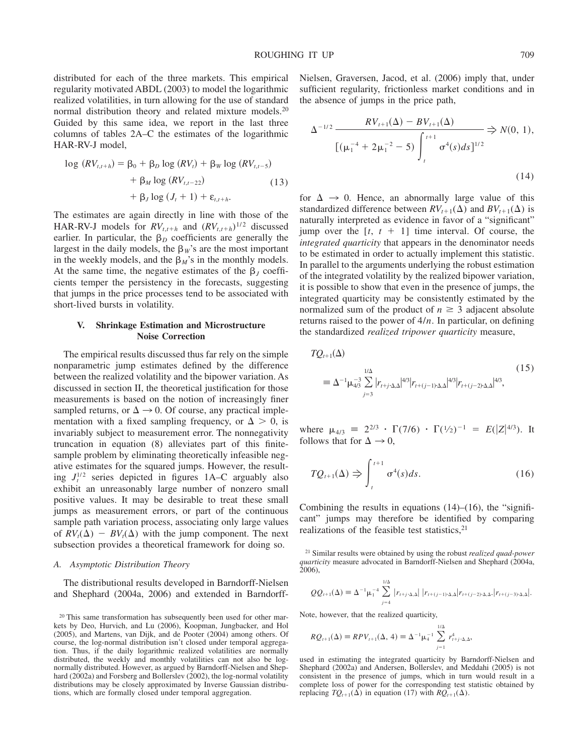distributed for each of the three markets. This empirical regularity motivated ABDL (2003) to model the logarithmic realized volatilities, in turn allowing for the use of standard normal distribution theory and related mixture models.20 Guided by this same idea, we report in the last three columns of tables 2A–C the estimates of the logarithmic HAR-RV-J model,

$$
\log (RV_{t,t+h}) = \beta_0 + \beta_D \log (RV_t) + \beta_W \log (RV_{t,t-5}) + \beta_M \log (RV_{t,t-22}) + \beta_J \log (J_t + 1) + \varepsilon_{t,t+h}.
$$
 (13)

The estimates are again directly in line with those of the HAR-RV-J models for  $RV_{t,t+h}$  and  $(RV_{t,t+h})^{1/2}$  discussed earlier. In particular, the  $\beta_D$  coefficients are generally the largest in the daily models, the  $\beta_W$ 's are the most important in the weekly models, and the  $\beta_M$ 's in the monthly models. At the same time, the negative estimates of the  $\beta$ <sub>J</sub> coefficients temper the persistency in the forecasts, suggesting that jumps in the price processes tend to be associated with short-lived bursts in volatility.

# **V. Shrinkage Estimation and Microstructure Noise Correction**

The empirical results discussed thus far rely on the simple nonparametric jump estimates defined by the difference between the realized volatility and the bipower variation. As discussed in section II, the theoretical justification for those measurements is based on the notion of increasingly finer sampled returns, or  $\Delta \rightarrow 0$ . Of course, any practical implementation with a fixed sampling frequency, or  $\Delta > 0$ , is invariably subject to measurement error. The nonnegativity truncation in equation (8) alleviates part of this finitesample problem by eliminating theoretically infeasible negative estimates for the squared jumps. However, the resulting  $J_t^{1/2}$  series depicted in figures 1A–C arguably also exhibit an unreasonably large number of nonzero small positive values. It may be desirable to treat these small jumps as measurement errors, or part of the continuous sample path variation process, associating only large values of  $RV<sub>t</sub>(\Delta) - BV<sub>t</sub>(\Delta)$  with the jump component. The next subsection provides a theoretical framework for doing so.

## *A. Asymptotic Distribution Theory*

The distributional results developed in Barndorff-Nielsen and Shephard (2004a, 2006) and extended in BarndorffNielsen, Graversen, Jacod, et al. (2006) imply that, under sufficient regularity, frictionless market conditions and in the absence of jumps in the price path,

$$
\Delta^{-1/2} \frac{RV_{t+1}(\Delta) - BV_{t+1}(\Delta)}{\left[ (\mu_1^{-4} + 2\mu_1^{-2} - 5) \int_t^{t+1} \sigma^4(s)ds \right]^{1/2}} \Rightarrow N(0, 1),
$$
\n(14)

for  $\Delta \rightarrow 0$ . Hence, an abnormally large value of this standardized difference between  $RV_{t+1}(\Delta)$  and  $BV_{t+1}(\Delta)$  is naturally interpreted as evidence in favor of a "significant" jump over the  $[t, t + 1]$  time interval. Of course, the *integrated quarticity* that appears in the denominator needs to be estimated in order to actually implement this statistic. In parallel to the arguments underlying the robust estimation of the integrated volatility by the realized bipower variation, it is possible to show that even in the presence of jumps, the integrated quarticity may be consistently estimated by the normalized sum of the product of  $n \geq 3$  adjacent absolute returns raised to the power of 4/*n*. In particular, on defining the standardized *realized tripower quarticity* measure,

$$
TQ_{t+1}(\Delta)
$$

$$
\equiv \Delta^{-1} \mu_{4/3}^{-3} \sum_{j=3}^{1/\Delta} |r_{t+j \cdot \Delta,\Delta}|^{4/3} |r_{t+(j-1)\cdot \Delta,\Delta}|^{4/3} |r_{t+(j-2)\cdot \Delta,\Delta}|^{4/3}, \tag{15}
$$

where  $\mu_{4/3} = 2^{2/3} \cdot \Gamma(7/6) \cdot \Gamma(\frac{1}{2})^{-1} = E(|Z|^{4/3})$ . It follows that for  $\Delta \rightarrow 0$ ,

$$
TQ_{t+1}(\Delta) \Rightarrow \int_{t}^{t+1} \sigma^{4}(s)ds.
$$
 (16)

Combining the results in equations  $(14)$ – $(16)$ , the "significant" jumps may therefore be identified by comparing realizations of the feasible test statistics,<sup>21</sup>

<sup>21</sup> Similar results were obtained by using the robust *realized quad-power quarticity* measure advocated in Barndorff-Nielsen and Shephard (2004a, 2006),

$$
QQ_{t+1}(\Delta) = \Delta^{-1} \mu_1^{-4} \sum_{j=4}^{1/\Delta} |r_{t+j} \cdot \Delta \Delta}| |r_{t+(j-1)} \cdot \Delta \Delta}|r_{t+(j-2)} \cdot \Delta \Delta}|r_{t+(j-3)} \cdot \Delta \Delta}|.
$$

 $1/\Lambda$ 

Note, however, that the realized quarticity,

$$
RQ_{t+1}(\Delta) \equiv RPV_{t+1}(\Delta, 4) \equiv \Delta^{-1} \mu_4^{-1} \sum_{j=1}^{1/\Delta} r_{t+j}^4 \Delta \Delta,
$$

used in estimating the integrated quarticity by Barndorff-Nielsen and Shephard (2002a) and Andersen, Bollerslev, and Meddahi (2005) is not consistent in the presence of jumps, which in turn would result in a complete loss of power for the corresponding test statistic obtained by replacing  $TQ_{t+1}(\Delta)$  in equation (17) with  $RQ_{t+1}(\Delta)$ .

<sup>&</sup>lt;sup>20</sup> This same transformation has subsequently been used for other markets by Deo, Hurvich, and Lu (2006), Koopman, Jungbacker, and Hol (2005), and Martens, van Dijk, and de Pooter (2004) among others. Of course, the log-normal distribution isn't closed under temporal aggregation. Thus, if the daily logarithmic realized volatilities are normally distributed, the weekly and monthly volatilities can not also be lognormally distributed. However, as argued by Barndorff-Nielsen and Shephard (2002a) and Forsberg and Bollerslev (2002), the log-normal volatility distributions may be closely approximated by Inverse Gaussian distributions, which are formally closed under temporal aggregation.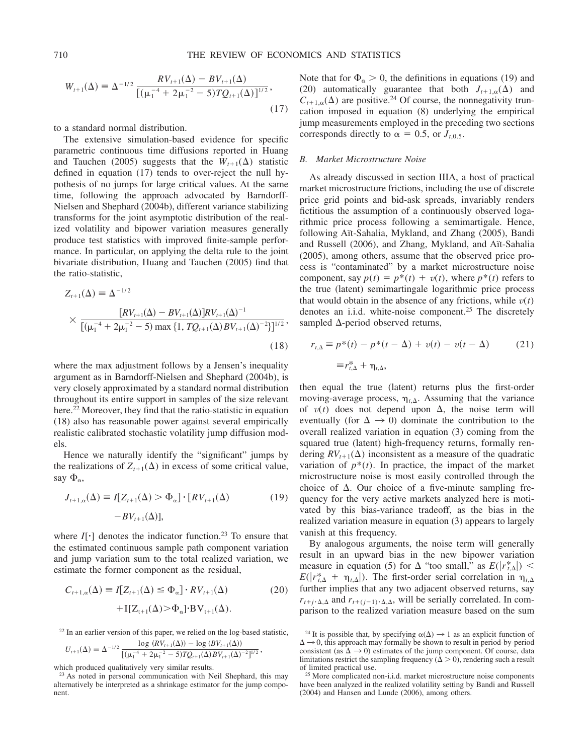$$
W_{t+1}(\Delta) = \Delta^{-1/2} \frac{RV_{t+1}(\Delta) - BV_{t+1}(\Delta)}{\left[ (\mu_1^{-4} + 2\mu_1^{-2} - 5)TQ_{t+1}(\Delta) \right]^{1/2}},\tag{17}
$$

to a standard normal distribution.

The extensive simulation-based evidence for specific parametric continuous time diffusions reported in Huang and Tauchen (2005) suggests that the  $W_{t+1}(\Delta)$  statistic defined in equation (17) tends to over-reject the null hypothesis of no jumps for large critical values. At the same time, following the approach advocated by Barndorff-Nielsen and Shephard (2004b), different variance stabilizing transforms for the joint asymptotic distribution of the realized volatility and bipower variation measures generally produce test statistics with improved finite-sample performance. In particular, on applying the delta rule to the joint bivariate distribution, Huang and Tauchen (2005) find that the ratio-statistic,

$$
Z_{t+1}(\Delta) = \Delta^{-1/2}
$$
  
 
$$
\times \frac{[RV_{t+1}(\Delta) - BV_{t+1}(\Delta)]RV_{t+1}(\Delta)^{-1}}{[(\mu_1^{-4} + 2\mu_1^{-2} - 5) \max\{1, TQ_{t+1}(\Delta)BV_{t+1}(\Delta)^{-2}\}]^{1/2}},
$$
(18)

where the max adjustment follows by a Jensen's inequality argument as in Barndorff-Nielsen and Shephard (2004b), is very closely approximated by a standard normal distribution throughout its entire support in samples of the size relevant here.22 Moreover, they find that the ratio-statistic in equation (18) also has reasonable power against several empirically realistic calibrated stochastic volatility jump diffusion models.

Hence we naturally identify the "significant" jumps by the realizations of  $Z_{t+1}(\Delta)$  in excess of some critical value, say  $\Phi_{\alpha}$ ,

$$
J_{t+1,\alpha}(\Delta) \equiv I[Z_{t+1}(\Delta) > \Phi_{\alpha}] \cdot [RV_{t+1}(\Delta)
$$
  
-
$$
BV_{t+1}(\Delta)],
$$
 (19)

where  $I[\cdot]$  denotes the indicator function.<sup>23</sup> To ensure that the estimated continuous sample path component variation and jump variation sum to the total realized variation, we estimate the former component as the residual,

$$
C_{t+1,\alpha}(\Delta) \equiv I[Z_{t+1}(\Delta) \le \Phi_{\alpha}] \cdot RV_{t+1}(\Delta)
$$
\n
$$
+ I[Z_{t+1}(\Delta) > \Phi_{\alpha}] \cdot BV_{t+1}(\Delta).
$$
\n(20)

<sup>22</sup> In an earlier version of this paper, we relied on the log-based statistic,

$$
U_{t+1}(\Delta) = \Delta^{-1/2} \frac{\log (RV_{t+1}(\Delta)) - \log (BV_{t+1}(\Delta))}{[(\mu_1^{-4} + 2\mu_1^{-2} - 5)TQ_{t+1}(\Delta)BV_{t+1}(\Delta)^{-2}]^{1/2}},
$$

which produced qualitatively very similar results.

Note that for  $\Phi_{\alpha} > 0$ , the definitions in equations (19) and (20) automatically guarantee that both  $J_{t+1,\alpha}(\Delta)$  and  $C_{t+1,\alpha}(\Delta)$  are positive.<sup>24</sup> Of course, the nonnegativity truncation imposed in equation (8) underlying the empirical jump measurements employed in the preceding two sections corresponds directly to  $\alpha = 0.5$ , or  $J_{t,0.5}$ .

## *B. Market Microstructure Noise*

As already discussed in section IIIA, a host of practical market microstructure frictions, including the use of discrete price grid points and bid-ask spreads, invariably renders fictitious the assumption of a continuously observed logarithmic price process following a semimartigale. Hence, following Aït-Sahalia, Mykland, and Zhang (2005), Bandi and Russell (2006), and Zhang, Mykland, and Aït-Sahalia (2005), among others, assume that the observed price process is "contaminated" by a market microstructure noise component, say  $p(t) = p^*(t) + v(t)$ , where  $p^*(t)$  refers to the true (latent) semimartingale logarithmic price process that would obtain in the absence of any frictions, while  $v(t)$ denotes an i.i.d. white-noise component.25 The discretely sampled  $\Delta$ -period observed returns,

$$
r_{t,\Delta} \equiv p^*(t) - p^*(t - \Delta) + v(t) - v(t - \Delta)
$$
 (21)  

$$
\equiv r_{t,\Delta}^* + \eta_{t,\Delta},
$$

then equal the true (latent) returns plus the first-order moving-average process,  $\eta_{t,\Delta}$ . Assuming that the variance of  $v(t)$  does not depend upon  $\Delta$ , the noise term will eventually (for  $\Delta \rightarrow 0$ ) dominate the contribution to the overall realized variation in equation (3) coming from the squared true (latent) high-frequency returns, formally rendering  $RV_{t+1}(\Delta)$  inconsistent as a measure of the quadratic variation of  $p^*(t)$ . In practice, the impact of the market microstructure noise is most easily controlled through the choice of  $\Delta$ . Our choice of a five-minute sampling frequency for the very active markets analyzed here is motivated by this bias-variance tradeoff, as the bias in the realized variation measure in equation (3) appears to largely vanish at this frequency.

By analogous arguments, the noise term will generally result in an upward bias in the new bipower variation measure in equation (5) for  $\Delta$  "too small," as  $E(|r_{t,\Delta}^*|)$  <  $E(|r_{t,\Delta}^* + \eta_{t,\Delta}|)$ . The first-order serial correlation in  $\eta_{t,\Delta}$ further implies that any two adjacent observed returns, say  $r_{t+j}$ ,  $\Delta$  and  $r_{t+(j-1)}$ ,  $\Delta$ , will be serially correlated. In comparison to the realized variation measure based on the sum

<sup>&</sup>lt;sup>23</sup> As noted in personal communication with Neil Shephard, this may alternatively be interpreted as a shrinkage estimator for the jump component.

<sup>&</sup>lt;sup>24</sup> It is possible that, by specifying  $\alpha(\Delta) \rightarrow 1$  as an explicit function of  $\Delta \rightarrow 0$ , this approach may formally be shown to result in period-by-period consistent (as  $\Delta \rightarrow 0$ ) estimates of the jump component. Of course, data limitations restrict the sampling frequency ( $\Delta > 0$ ), rendering such a result of limited practical use.

<sup>&</sup>lt;sup>25</sup> More complicated non-i.i.d. market microstructure noise components have been analyzed in the realized volatility setting by Bandi and Russell (2004) and Hansen and Lunde (2006), among others.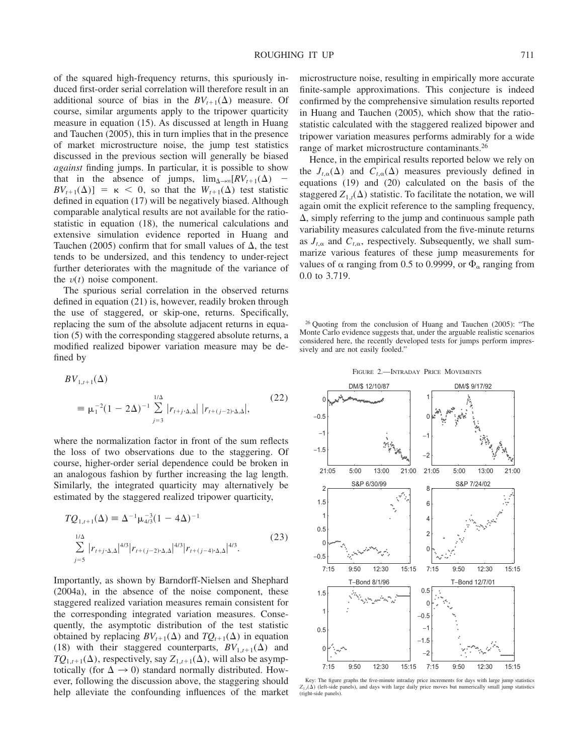of the squared high-frequency returns, this spuriously induced first-order serial correlation will therefore result in an additional source of bias in the  $BV_{t+1}(\Delta)$  measure. Of course, similar arguments apply to the tripower quarticity measure in equation (15). As discussed at length in Huang and Tauchen (2005), this in turn implies that in the presence of market microstructure noise, the jump test statistics discussed in the previous section will generally be biased *against* finding jumps. In particular, it is possible to show that in the absence of jumps,  $\lim_{\Delta \to \infty} [RV_{t+1}(\Delta)]$  $BV_{t+1}(\Delta)$  =  $\kappa$  < 0, so that the  $W_{t+1}(\Delta)$  test statistic defined in equation (17) will be negatively biased. Although comparable analytical results are not available for the ratiostatistic in equation (18), the numerical calculations and extensive simulation evidence reported in Huang and Tauchen (2005) confirm that for small values of  $\Delta$ , the test tends to be undersized, and this tendency to under-reject further deteriorates with the magnitude of the variance of the  $v(t)$  noise component.

The spurious serial correlation in the observed returns defined in equation (21) is, however, readily broken through the use of staggered, or skip-one, returns. Specifically, replacing the sum of the absolute adjacent returns in equation (5) with the corresponding staggered absolute returns, a modified realized bipower variation measure may be defined by

$$
BV_{1,t+1}(\Delta)
$$
  
\n
$$
\equiv \mu_1^{-2} (1 - 2\Delta)^{-1} \sum_{j=3}^{1/\Delta} |r_{t+j} \cdot \Delta, \Delta| |r_{t+(j-2)} \cdot \Delta, \Delta|,
$$
\n(22)

where the normalization factor in front of the sum reflects the loss of two observations due to the staggering. Of course, higher-order serial dependence could be broken in an analogous fashion by further increasing the lag length. Similarly, the integrated quarticity may alternatively be estimated by the staggered realized tripower quarticity,

$$
TQ_{1,t+1}(\Delta) = \Delta^{-1} \mu_{4/3}^{-3} (1 - 4\Delta)^{-1}
$$
  

$$
\sum_{j=5}^{1/\Delta} |r_{t+j} \Delta \Delta|^{4/3} |r_{t+(j-2)} \Delta \Delta|^{4/3} |r_{t+(j-4)} \Delta \Delta|^{4/3}.
$$
 (23)

Importantly, as shown by Barndorff-Nielsen and Shephard (2004a), in the absence of the noise component, these staggered realized variation measures remain consistent for the corresponding integrated variation measures. Consequently, the asymptotic distribution of the test statistic obtained by replacing  $BV_{t+1}(\Delta)$  and  $TQ_{t+1}(\Delta)$  in equation (18) with their staggered counterparts,  $BV_{1,t+1}(\Delta)$  and  $TQ_{1,t+1}(\Delta)$ , respectively, say  $Z_{1,t+1}(\Delta)$ , will also be asymptotically (for  $\Delta \rightarrow 0$ ) standard normally distributed. However, following the discussion above, the staggering should help alleviate the confounding influences of the market microstructure noise, resulting in empirically more accurate finite-sample approximations. This conjecture is indeed confirmed by the comprehensive simulation results reported in Huang and Tauchen (2005), which show that the ratiostatistic calculated with the staggered realized bipower and tripower variation measures performs admirably for a wide range of market microstructure contaminants.26

Hence, in the empirical results reported below we rely on the  $J_{t,\alpha}(\Delta)$  and  $C_{t,\alpha}(\Delta)$  measures previously defined in equations (19) and (20) calculated on the basis of the staggered  $Z_{1,t}(\Delta)$  statistic. To facilitate the notation, we will again omit the explicit reference to the sampling frequency,  $\Delta$ , simply referring to the jump and continuous sample path variability measures calculated from the five-minute returns as  $J_{t,\alpha}$  and  $C_{t,\alpha}$ , respectively. Subsequently, we shall summarize various features of these jump measurements for values of  $\alpha$  ranging from 0.5 to 0.9999, or  $\Phi_{\alpha}$  ranging from 0.0 to 3.719.

<sup>26</sup> Quoting from the conclusion of Huang and Tauchen (2005): "The Monte Carlo evidence suggests that, under the arguable realistic scenarios considered here, the recently developed tests for jumps perform impressively and are not easily fooled."

FIGURE 2.—INTRADAY PRICE MOVEMENTS



Key: The figure graphs the five-minute intraday price increments for days with large jump statistics  $Z_{1,t}(\Delta)$  (left-side panels), and days with large daily price moves but numerically small jump statistics (right-side panels).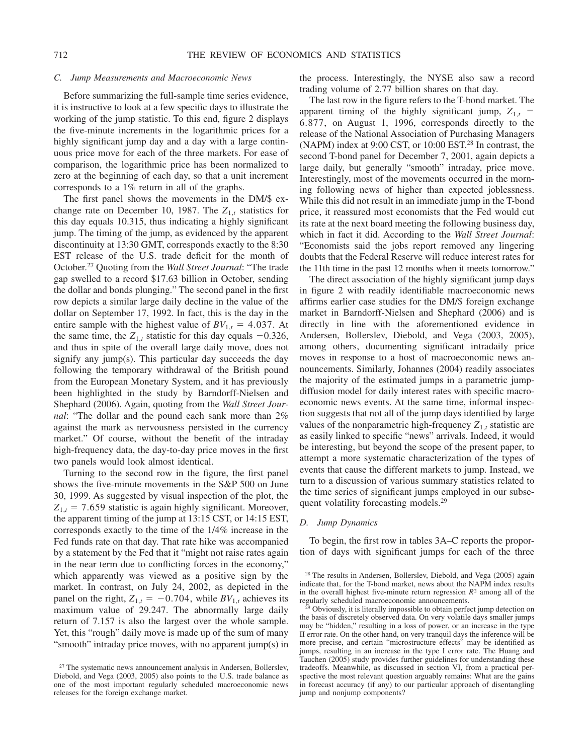#### *C. Jump Measurements and Macroeconomic News*

Before summarizing the full-sample time series evidence, it is instructive to look at a few specific days to illustrate the working of the jump statistic. To this end, figure 2 displays the five-minute increments in the logarithmic prices for a highly significant jump day and a day with a large continuous price move for each of the three markets. For ease of comparison, the logarithmic price has been normalized to zero at the beginning of each day, so that a unit increment corresponds to a 1% return in all of the graphs.

The first panel shows the movements in the DM/\$ exchange rate on December 10, 1987. The  $Z_{1,t}$  statistics for this day equals 10.315, thus indicating a highly significant jump. The timing of the jump, as evidenced by the apparent discontinuity at 13:30 GMT, corresponds exactly to the 8:30 EST release of the U.S. trade deficit for the month of October.27 Quoting from the *Wall Street Journal*: "The trade gap swelled to a record \$17.63 billion in October, sending the dollar and bonds plunging." The second panel in the first row depicts a similar large daily decline in the value of the dollar on September 17, 1992. In fact, this is the day in the entire sample with the highest value of  $BV_{1,t} = 4.037$ . At the same time, the  $Z_{1,t}$  statistic for this day equals  $-0.326$ , and thus in spite of the overall large daily move, does not signify any jump(s). This particular day succeeds the day following the temporary withdrawal of the British pound from the European Monetary System, and it has previously been highlighted in the study by Barndorff-Nielsen and Shephard (2006). Again, quoting from the *Wall Street Journal*: "The dollar and the pound each sank more than 2% against the mark as nervousness persisted in the currency market." Of course, without the benefit of the intraday high-frequency data, the day-to-day price moves in the first two panels would look almost identical.

Turning to the second row in the figure, the first panel shows the five-minute movements in the S&P 500 on June 30, 1999. As suggested by visual inspection of the plot, the  $Z_{1,t}$  = 7.659 statistic is again highly significant. Moreover, the apparent timing of the jump at 13:15 CST, or 14:15 EST, corresponds exactly to the time of the 1/4% increase in the Fed funds rate on that day. That rate hike was accompanied by a statement by the Fed that it "might not raise rates again in the near term due to conflicting forces in the economy," which apparently was viewed as a positive sign by the market. In contrast, on July 24, 2002, as depicted in the panel on the right,  $Z_{1,t} = -0.704$ , while  $BV_{1,t}$  achieves its maximum value of 29.247. The abnormally large daily return of 7.157 is also the largest over the whole sample. Yet, this "rough" daily move is made up of the sum of many "smooth" intraday price moves, with no apparent jump(s) in the process. Interestingly, the NYSE also saw a record trading volume of 2.77 billion shares on that day.

The last row in the figure refers to the T-bond market. The apparent timing of the highly significant jump,  $Z_{1,t}$  = 6.877, on August 1, 1996, corresponds directly to the release of the National Association of Purchasing Managers (NAPM) index at 9:00 CST, or 10:00 EST.28 In contrast, the second T-bond panel for December 7, 2001, again depicts a large daily, but generally "smooth" intraday, price move. Interestingly, most of the movements occurred in the morning following news of higher than expected joblessness. While this did not result in an immediate jump in the T-bond price, it reassured most economists that the Fed would cut its rate at the next board meeting the following business day, which in fact it did. According to the *Wall Street Journal*: "Economists said the jobs report removed any lingering doubts that the Federal Reserve will reduce interest rates for the 11th time in the past 12 months when it meets tomorrow."

The direct association of the highly significant jump days in figure 2 with readily identifiable macroeconomic news affirms earlier case studies for the DM/\$ foreign exchange market in Barndorff-Nielsen and Shephard (2006) and is directly in line with the aforementioned evidence in Andersen, Bollerslev, Diebold, and Vega (2003, 2005), among others, documenting significant intradaily price moves in response to a host of macroeconomic news announcements. Similarly, Johannes (2004) readily associates the majority of the estimated jumps in a parametric jumpdiffusion model for daily interest rates with specific macroeconomic news events. At the same time, informal inspection suggests that not all of the jump days identified by large values of the nonparametric high-frequency  $Z_{1,t}$  statistic are as easily linked to specific "news" arrivals. Indeed, it would be interesting, but beyond the scope of the present paper, to attempt a more systematic characterization of the types of events that cause the different markets to jump. Instead, we turn to a discussion of various summary statistics related to the time series of significant jumps employed in our subsequent volatility forecasting models.29

#### *D. Jump Dynamics*

To begin, the first row in tables 3A–C reports the proportion of days with significant jumps for each of the three

<sup>&</sup>lt;sup>27</sup> The systematic news announcement analysis in Andersen, Bollerslev, Diebold, and Vega (2003, 2005) also points to the U.S. trade balance as one of the most important regularly scheduled macroeconomic news releases for the foreign exchange market.

<sup>28</sup> The results in Andersen, Bollerslev, Diebold, and Vega (2005) again indicate that, for the T-bond market, news about the NAPM index results in the overall highest five-minute return regression  $R^2$  among all of the regularly scheduled macroeconomic announcements.

Obviously, it is literally impossible to obtain perfect jump detection on the basis of discretely observed data. On very volatile days smaller jumps may be "hidden," resulting in a loss of power, or an increase in the type II error rate. On the other hand, on very tranquil days the inference will be more precise, and certain "microstructure effects" may be identified as jumps, resulting in an increase in the type I error rate. The Huang and Tauchen (2005) study provides further guidelines for understanding these tradeoffs. Meanwhile, as discussed in section VI, from a practical perspective the most relevant question arguably remains: What are the gains in forecast accuracy (if any) to our particular approach of disentangling jump and nonjump components?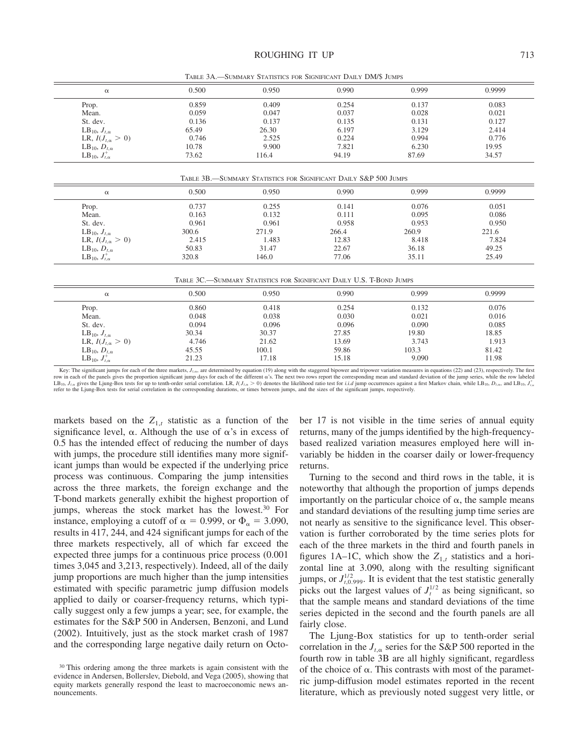TABLE 3A.—SUMMARY STATISTICS FOR SIGNIFICANT DAILY DM/\$ JUMPS

| $\alpha$                          | 0.500 | 0.950 | 0.990 | 0.999 | 0.9999 |
|-----------------------------------|-------|-------|-------|-------|--------|
| Prop.                             | 0.859 | 0.409 | 0.254 | 0.137 | 0.083  |
| Mean.                             | 0.059 | 0.047 | 0.037 | 0.028 | 0.021  |
| St. dev.                          | 0.136 | 0.137 | 0.135 | 0.131 | 0.127  |
| $LB_{10}$ , $J_{t,\alpha}$        | 65.49 | 26.30 | 6.197 | 3.129 | 2.414  |
| LR, $I(J_{t,\alpha} > 0)$         | 0.746 | 2.525 | 0.224 | 0.994 | 0.776  |
| LB <sub>10</sub> , $D_{t,\alpha}$ | 10.78 | 9.900 | 7.821 | 6.230 | 19.95  |
| $LB_{10}$ , $J_{t,\alpha}^{+}$    | 73.62 | 116.4 | 94.19 | 87.69 | 34.57  |

TABLE 3B.—SUMMARY STATISTICS FOR SIGNIFICANT DAILY S&P 500 JUMPS

| $\alpha$                          | 0.500 | 0.950 | 0.990 | 0.999 | 0.9999 |
|-----------------------------------|-------|-------|-------|-------|--------|
| Prop.                             | 0.737 | 0.255 | 0.141 | 0.076 | 0.051  |
| Mean.                             | 0.163 | 0.132 | 0.111 | 0.095 | 0.086  |
| St. dev.                          | 0.961 | 0.961 | 0.958 | 0.953 | 0.950  |
| $LB_{10}$ , $J_{t,\alpha}$        | 300.6 | 271.9 | 266.4 | 260.9 | 221.6  |
| LR, $I(J_{t,\alpha} > 0)$         | 2.415 | 1.483 | 12.83 | 8.418 | 7.824  |
| LB <sub>10</sub> , $D_{t,\alpha}$ | 50.83 | 31.47 | 22.67 | 36.18 | 49.25  |
| $LB_{10}, J_{t,\alpha}^{+}$       | 320.8 | 146.0 | 77.06 | 35.11 | 25.49  |
|                                   |       |       |       |       |        |

| TABLE 3C.—SUMMARY STATISTICS FOR SIGNIFICANT DAILY U.S. T-BOND JUMPS |  |
|----------------------------------------------------------------------|--|
|----------------------------------------------------------------------|--|

| $\alpha$                          | 0.500 | 0.950 | 0.990 | 0.999 | 0.9999 |
|-----------------------------------|-------|-------|-------|-------|--------|
| Prop.                             | 0.860 | 0.418 | 0.254 | 0.132 | 0.076  |
| Mean.                             | 0.048 | 0.038 | 0.030 | 0.021 | 0.016  |
| St. dev.                          | 0.094 | 0.096 | 0.096 | 0.090 | 0.085  |
| $LB_{10}$ , $J_{t,\alpha}$        | 30.34 | 30.37 | 27.85 | 19.80 | 18.85  |
| LR, $I(J_{t,\alpha} > 0)$         | 4.746 | 21.62 | 13.69 | 3.743 | 1.913  |
| LB <sub>10</sub> , $D_{t,\alpha}$ | 45.55 | 100.1 | 59.86 | 103.3 | 81.42  |
| $LB_{10}, J_{t,\alpha}^{+}$       | 21.23 | 17.18 | 15.18 | 9.090 | 11.98  |

Key: The significant jumps for each of the three markets,  $J_{t,a}$ , are determined by equation (19) along with the staggered bipower and tripower variation measures in equations (22) and (23), respectively. The first row in each of the panels gives the proportion significant jump days for each of the different o's. The next two rows report the corresponding mean and standard deviation of the jump series, while the row labeled LB<sub>10</sub>,  $J_{i,\alpha}$  gives the Ljung-Box tests for up to tenth-order serial correlation. LR,  $I(J_{i,\alpha} > 0)$  denotes the likelihood ratio test for *i.i.d* jump occurrences against a first Markov chain, while LB<sub>10</sub>,  $D_{i,\alpha}$ , a refer to the Ljung-Box tests for serial correlation in the corresponding durations, or times between jumps, and the sizes of the significant jumps, respectively.

markets based on the  $Z_{1,t}$  statistic as a function of the significance level,  $\alpha$ . Although the use of  $\alpha$ 's in excess of 0.5 has the intended effect of reducing the number of days with jumps, the procedure still identifies many more significant jumps than would be expected if the underlying price process was continuous. Comparing the jump intensities across the three markets, the foreign exchange and the T-bond markets generally exhibit the highest proportion of jumps, whereas the stock market has the lowest.<sup>30</sup> For instance, employing a cutoff of  $\alpha = 0.999$ , or  $\Phi_{\alpha} = 3.090$ , results in 417, 244, and 424 significant jumps for each of the three markets respectively, all of which far exceed the expected three jumps for a continuous price process (0.001 times 3,045 and 3,213, respectively). Indeed, all of the daily jump proportions are much higher than the jump intensities estimated with specific parametric jump diffusion models applied to daily or coarser-frequency returns, which typically suggest only a few jumps a year; see, for example, the estimates for the S&P 500 in Andersen, Benzoni, and Lund (2002). Intuitively, just as the stock market crash of 1987 and the corresponding large negative daily return on October 17 is not visible in the time series of annual equity returns, many of the jumps identified by the high-frequencybased realized variation measures employed here will invariably be hidden in the coarser daily or lower-frequency returns.

Turning to the second and third rows in the table, it is noteworthy that although the proportion of jumps depends importantly on the particular choice of  $\alpha$ , the sample means and standard deviations of the resulting jump time series are not nearly as sensitive to the significance level. This observation is further corroborated by the time series plots for each of the three markets in the third and fourth panels in figures 1A–1C, which show the  $Z_{1,t}$  statistics and a horizontal line at 3.090, along with the resulting significant jumps, or  $J_{t,0.999}^{1/2}$ . It is evident that the test statistic generally picks out the largest values of  $J_t^{1/2}$  as being significant, so that the sample means and standard deviations of the time series depicted in the second and the fourth panels are all fairly close.

The Ljung-Box statistics for up to tenth-order serial correlation in the  $J_{t,\alpha}$  series for the S&P 500 reported in the fourth row in table 3B are all highly significant, regardless of the choice of  $\alpha$ . This contrasts with most of the parametric jump-diffusion model estimates reported in the recent literature, which as previously noted suggest very little, or

<sup>&</sup>lt;sup>30</sup> This ordering among the three markets is again consistent with the evidence in Andersen, Bollerslev, Diebold, and Vega (2005), showing that equity markets generally respond the least to macroeconomic news announcements.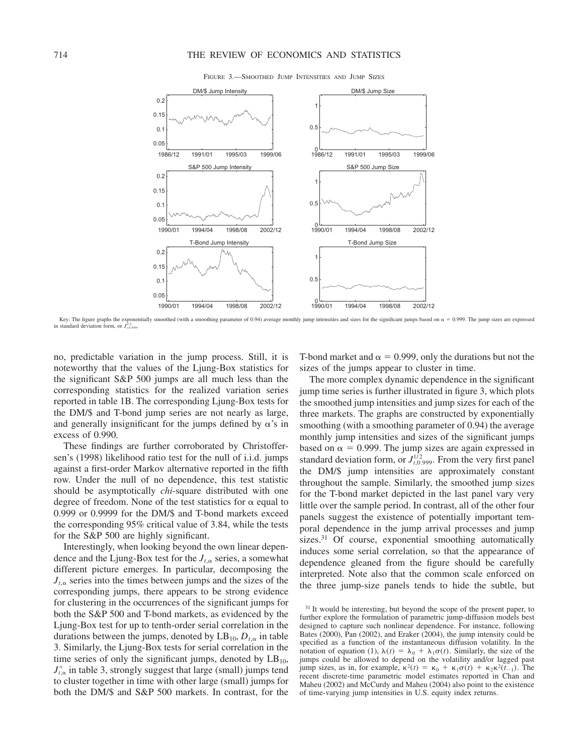

FIGURE 3.—SMOOTHED JUMP INTENSITIES AND JUMP SIZES

Key: The figure graphs the exponentially smoothed (with a smoothing parameter of 0.94) average monthly jump intensities and sizes for the significant jumps based on  $\alpha = 0.999$ . The jump sizes are expressed in standard deviation form, or  $J_{t,0.999}^{1/2}$ .

no, predictable variation in the jump process. Still, it is noteworthy that the values of the Ljung-Box statistics for the significant S&P 500 jumps are all much less than the corresponding statistics for the realized variation series reported in table 1B. The corresponding Ljung-Box tests for the DM/\$ and T-bond jump series are not nearly as large, and generally insignificant for the jumps defined by  $\alpha$ 's in excess of 0.990.

These findings are further corroborated by Christoffersen's (1998) likelihood ratio test for the null of i.i.d. jumps against a first-order Markov alternative reported in the fifth row. Under the null of no dependence, this test statistic should be asymptotically *chi*-square distributed with one degree of freedom. None of the test statistics for  $\alpha$  equal to 0.999 or 0.9999 for the DM/\$ and T-bond markets exceed the corresponding 95% critical value of 3.84, while the tests for the S&P 500 are highly significant.

Interestingly, when looking beyond the own linear dependence and the Ljung-Box test for the  $J_{t,\alpha}$  series, a somewhat different picture emerges. In particular, decomposing the  $J_{t,\alpha}$  series into the times between jumps and the sizes of the corresponding jumps, there appears to be strong evidence for clustering in the occurrences of the significant jumps for both the S&P 500 and T-bond markets, as evidenced by the Ljung-Box test for up to tenth-order serial correlation in the durations between the jumps, denoted by  $LB_{10}$ ,  $D_{t,\alpha}$  in table 3. Similarly, the Ljung-Box tests for serial correlation in the time series of only the significant jumps, denoted by  $LB_{10}$ ,  $J_{t,\alpha}^+$  in table 3, strongly suggest that large (small) jumps tend to cluster together in time with other large (small) jumps for both the DM/\$ and S&P 500 markets. In contrast, for the

T-bond market and  $\alpha = 0.999$ , only the durations but not the sizes of the jumps appear to cluster in time.

The more complex dynamic dependence in the significant jump time series is further illustrated in figure 3, which plots the smoothed jump intensities and jump sizes for each of the three markets. The graphs are constructed by exponentially smoothing (with a smoothing parameter of 0.94) the average monthly jump intensities and sizes of the significant jumps based on  $\alpha = 0.999$ . The jump sizes are again expressed in standard deviation form, or  $J_{t,0.999}^{1/2}$ . From the very first panel the DM/\$ jump intensities are approximately constant throughout the sample. Similarly, the smoothed jump sizes for the T-bond market depicted in the last panel vary very little over the sample period. In contrast, all of the other four panels suggest the existence of potentially important temporal dependence in the jump arrival processes and jump sizes.<sup>31</sup> Of course, exponential smoothing automatically induces some serial correlation, so that the appearance of dependence gleaned from the figure should be carefully interpreted. Note also that the common scale enforced on the three jump-size panels tends to hide the subtle, but

 $31$  It would be interesting, but beyond the scope of the present paper, to further explore the formulation of parametric jump-diffusion models best designed to capture such nonlinear dependence. For instance, following Bates (2000), Pan (2002), and Eraker (2004), the jump intensity could be specified as a function of the instantaneous diffusion volatility. In the notation of equation (1),  $\lambda(t) = \lambda_0 + \lambda_1 \sigma(t)$ . Similarly, the size of the jumps could be allowed to depend on the volatility and/or lagged past jump sizes, as in, for example,  $\kappa^2(t) = \kappa_0 + \kappa_1 \sigma(t) + \kappa_2 \kappa^2(t-1)$ . The recent discrete-time parametric model estimates reported in Chan and Maheu (2002) and McCurdy and Maheu (2004) also point to the existence of time-varying jump intensities in U.S. equity index returns.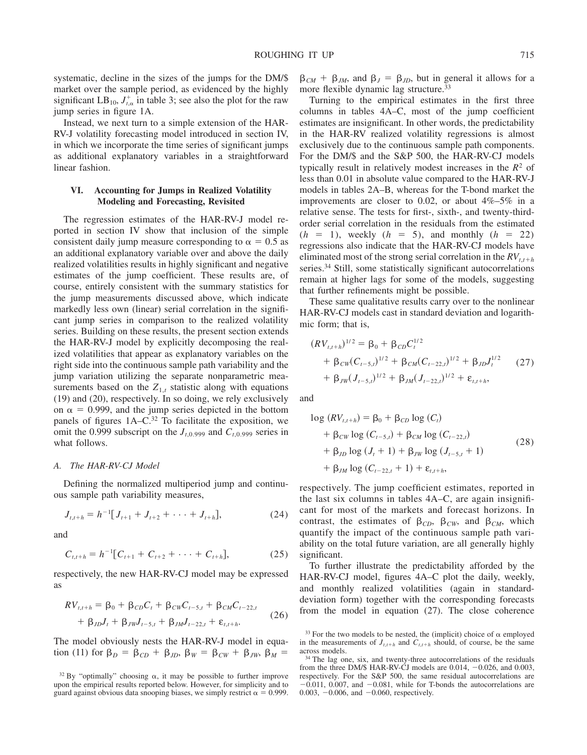systematic, decline in the sizes of the jumps for the DM/\$ market over the sample period, as evidenced by the highly significant  $LB_{10}$ ,  $J_{t,\alpha}^{+}$  in table 3; see also the plot for the raw jump series in figure 1A.

Instead, we next turn to a simple extension of the HAR-RV-J volatility forecasting model introduced in section IV, in which we incorporate the time series of significant jumps as additional explanatory variables in a straightforward linear fashion.

# **VI. Accounting for Jumps in Realized Volatility Modeling and Forecasting, Revisited**

The regression estimates of the HAR-RV-J model reported in section IV show that inclusion of the simple consistent daily jump measure corresponding to  $\alpha = 0.5$  as an additional explanatory variable over and above the daily realized volatilities results in highly significant and negative estimates of the jump coefficient. These results are, of course, entirely consistent with the summary statistics for the jump measurements discussed above, which indicate markedly less own (linear) serial correlation in the significant jump series in comparison to the realized volatility series. Building on these results, the present section extends the HAR-RV-J model by explicitly decomposing the realized volatilities that appear as explanatory variables on the right side into the continuous sample path variability and the jump variation utilizing the separate nonparametric measurements based on the  $Z_{1,t}$  statistic along with equations (19) and (20), respectively. In so doing, we rely exclusively on  $\alpha$  = 0.999, and the jump series depicted in the bottom panels of figures 1A–C.<sup>32</sup> To facilitate the exposition, we omit the 0.999 subscript on the  $J_{t,0.999}$  and  $C_{t,0.999}$  series in what follows.

## *A. The HAR-RV-CJ Model*

Defining the normalized multiperiod jump and continuous sample path variability measures,

$$
J_{t,t+h} = h^{-1} [J_{t+1} + J_{t+2} + \cdots + J_{t+h}], \qquad (24)
$$

and

$$
C_{t,t+h} = h^{-1}[C_{t+1} + C_{t+2} + \cdots + C_{t+h}], \qquad (25)
$$

respectively, the new HAR-RV-CJ model may be expressed as

$$
RV_{t,t+h} = \beta_0 + \beta_{CD}C_t + \beta_{CW}C_{t-5,t} + \beta_{CM}C_{t-22,t}
$$
  
+  $\beta_{JD}J_t + \beta_{JW}J_{t-5,t} + \beta_{JM}J_{t-22,t} + \varepsilon_{t,t+h}.$  (26)

The model obviously nests the HAR-RV-J model in equation (11) for  $\beta_D = \beta_{CD} + \beta_{JD}$ ,  $\beta_W = \beta_{CW} + \beta_{JW}$ ,  $\beta_M =$   $\beta_{CM}$  +  $\beta_{JM}$ , and  $\beta_{J}$  =  $\beta_{JD}$ , but in general it allows for a more flexible dynamic lag structure.33

Turning to the empirical estimates in the first three columns in tables 4A–C, most of the jump coefficient estimates are insignificant. In other words, the predictability in the HAR-RV realized volatility regressions is almost exclusively due to the continuous sample path components. For the DM/\$ and the S&P 500, the HAR-RV-CJ models typically result in relatively modest increases in the *R*<sup>2</sup> of less than 0.01 in absolute value compared to the HAR-RV-J models in tables 2A–B, whereas for the T-bond market the improvements are closer to 0.02, or about 4%–5% in a relative sense. The tests for first-, sixth-, and twenty-thirdorder serial correlation in the residuals from the estimated  $(h = 1)$ , weekly  $(h = 5)$ , and monthly  $(h = 22)$ regressions also indicate that the HAR-RV-CJ models have eliminated most of the strong serial correlation in the  $RV_{t,t+h}$ series.<sup>34</sup> Still, some statistically significant autocorrelations remain at higher lags for some of the models, suggesting that further refinements might be possible.

These same qualitative results carry over to the nonlinear HAR-RV-CJ models cast in standard deviation and logarithmic form; that is,

$$
(RV_{t,t+h})^{1/2} = \beta_0 + \beta_{CD} C_t^{1/2}
$$
  
+  $\beta_{CW} (C_{t-5,t})^{1/2} + \beta_{CM} (C_{t-22,t})^{1/2} + \beta_{JD} J_t^{1/2}$  (27)  
+  $\beta_{JW} (J_{t-5,t})^{1/2} + \beta_{JM} (J_{t-22,t})^{1/2} + \varepsilon_{t,t+h}$ ,

and

$$
log (RV_{t,t+h}) = \beta_0 + \beta_{CD} log (C_t)
$$
  
+  $\beta_{CW} log (C_{t-5,t}) + \beta_{CM} log (C_{t-22,t})$   
+  $\beta_{JD} log (J_t + 1) + \beta_{JW} log (J_{t-5,t} + 1)$   
+  $\beta_{JM} log (C_{t-22,t} + 1) + \varepsilon_{t,t+h}$ , (28)

respectively. The jump coefficient estimates, reported in the last six columns in tables 4A–C, are again insignificant for most of the markets and forecast horizons. In contrast, the estimates of  $\beta_{CD}$ ,  $\beta_{CW}$ , and  $\beta_{CM}$ , which quantify the impact of the continuous sample path variability on the total future variation, are all generally highly significant.

To further illustrate the predictability afforded by the HAR-RV-CJ model, figures 4A–C plot the daily, weekly, and monthly realized volatilities (again in standarddeviation form) together with the corresponding forecasts from the model in equation (27). The close coherence

 $32$  By "optimally" choosing  $\alpha$ , it may be possible to further improve upon the empirical results reported below. However, for simplicity and to guard against obvious data snooping biases, we simply restrict  $\alpha = 0.999$ .

 $33$  For the two models to be nested, the (implicit) choice of  $\alpha$  employed in the measurements of  $J_{t,t+h}$  and  $C_{t,t+h}$  should, of course, be the same across models.

<sup>&</sup>lt;sup>34</sup> The lag one, six, and twenty-three autocorrelations of the residuals from the three DM/\$ HAR-RV-CJ models are  $0.014$ ,  $-0.026$ , and  $0.003$ , respectively. For the S&P 500, the same residual autocorrelations are  $-0.011$ , 0.007, and  $-0.081$ , while for T-bonds the autocorrelations are 0.003,  $-0.006$ , and  $-0.060$ , respectively.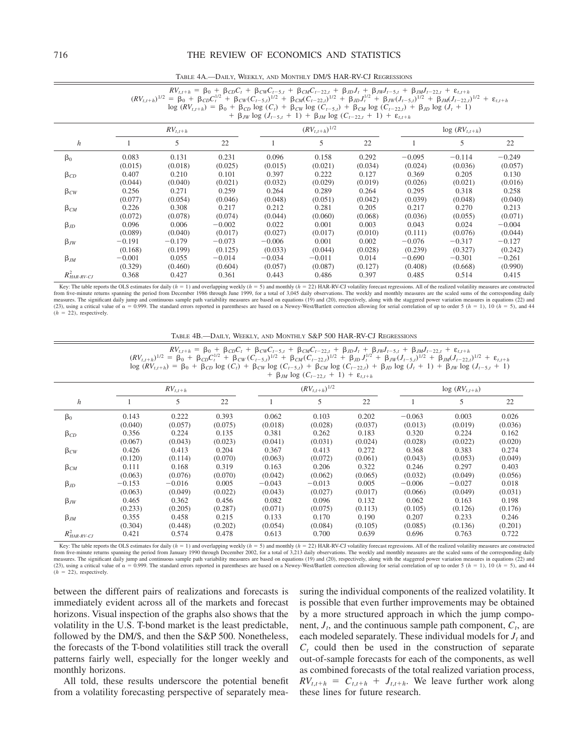| $RV_{t,t+h} = \beta_0 + \beta_{CD}C_t + \beta_{CW}C_{t-5,t} + \beta_{CM}C_{t-22,t} + \beta_{JD}J_t + \beta_{JW}J_{t-5,t} + \beta_{JM}J_{t-22,t} + \varepsilon_{t,t+h}$<br>$(RV_{t,t+h})^{1/2} = \beta_0 + \beta_{CD}C_t^{1/2} + \beta_{CW}(C_{t-5,t})^{1/2} + \beta_{CM}(C_{t-22,t})^{1/2} + \beta_{JD}J_t^{1/2} + \beta_{JW}(J_{t-5,t})^{1/2} + \beta_{JM}(J_{t-22,t})^{1/2} + \epsilon_{t,t+h}$<br>$\log (RV_{t,t+h}) = \beta_0 + \beta_{CD} \log (C_t) + \beta_{CW} \log (C_{t-5,t}) + \beta_{CM} \log (C_{t-22,t}) + \beta_{JD} \log (J_t + 1)$<br>+ $\beta_{IW} \log (J_{t-5,t} + 1) + \beta_{JM} \log (C_{t-22,t} + 1) + \varepsilon_{t,t+h}$ |              |          |          |                      |          |         |                   |          |          |
|-----------------------------------------------------------------------------------------------------------------------------------------------------------------------------------------------------------------------------------------------------------------------------------------------------------------------------------------------------------------------------------------------------------------------------------------------------------------------------------------------------------------------------------------------------------------------------------------------------------------------------------------------------|--------------|----------|----------|----------------------|----------|---------|-------------------|----------|----------|
|                                                                                                                                                                                                                                                                                                                                                                                                                                                                                                                                                                                                                                                     | $RV_{t,t+h}$ |          |          | $(RV_{t,t+h})^{1/2}$ |          |         | $log(RV_{t,t+h})$ |          |          |
| $\boldsymbol{h}$                                                                                                                                                                                                                                                                                                                                                                                                                                                                                                                                                                                                                                    |              | 5        | 22       |                      | 5        | 22      |                   | 5        | 22       |
| $\beta_0$                                                                                                                                                                                                                                                                                                                                                                                                                                                                                                                                                                                                                                           | 0.083        | 0.131    | 0.231    | 0.096                | 0.158    | 0.292   | $-0.095$          | $-0.114$ | $-0.249$ |
|                                                                                                                                                                                                                                                                                                                                                                                                                                                                                                                                                                                                                                                     | (0.015)      | (0.018)  | (0.025)  | (0.015)              | (0.021)  | (0.034) | (0.024)           | (0.036)  | (0.057)  |
| $\beta_{CD}$                                                                                                                                                                                                                                                                                                                                                                                                                                                                                                                                                                                                                                        | 0.407        | 0.210    | 0.101    | 0.397                | 0.222    | 0.127   | 0.369             | 0.205    | 0.130    |
|                                                                                                                                                                                                                                                                                                                                                                                                                                                                                                                                                                                                                                                     | (0.044)      | (0.040)  | (0.021)  | (0.032)              | (0.029)  | (0.019) | (0.026)           | (0.021)  | (0.016)  |
| $\beta_{CW}$                                                                                                                                                                                                                                                                                                                                                                                                                                                                                                                                                                                                                                        | 0.256        | 0.271    | 0.259    | 0.264                | 0.289    | 0.264   | 0.295             | 0.318    | 0.258    |
|                                                                                                                                                                                                                                                                                                                                                                                                                                                                                                                                                                                                                                                     | (0.077)      | (0.054)  | (0.046)  | (0.048)              | (0.051)  | (0.042) | (0.039)           | (0.048)  | (0.040)  |
| $\beta_{CM}$                                                                                                                                                                                                                                                                                                                                                                                                                                                                                                                                                                                                                                        | 0.226        | 0.308    | 0.217    | 0.212                | 0.281    | 0.205   | 0.217             | 0.270    | 0.213    |
|                                                                                                                                                                                                                                                                                                                                                                                                                                                                                                                                                                                                                                                     | (0.072)      | (0.078)  | (0.074)  | (0.044)              | (0.060)  | (0.068) | (0.036)           | (0.055)  | (0.071)  |
| $\beta_{JD}$                                                                                                                                                                                                                                                                                                                                                                                                                                                                                                                                                                                                                                        | 0.096        | 0.006    | $-0.002$ | 0.022                | 0.001    | 0.003   | 0.043             | 0.024    | $-0.004$ |
|                                                                                                                                                                                                                                                                                                                                                                                                                                                                                                                                                                                                                                                     | (0.089)      | (0.040)  | (0.017)  | (0.027)              | (0.017)  | (0.010) | (0.111)           | (0.076)  | (0.044)  |
| $\beta_{JW}$                                                                                                                                                                                                                                                                                                                                                                                                                                                                                                                                                                                                                                        | $-0.191$     | $-0.179$ | $-0.073$ | $-0.006$             | 0.001    | 0.002   | $-0.076$          | $-0.317$ | $-0.127$ |
|                                                                                                                                                                                                                                                                                                                                                                                                                                                                                                                                                                                                                                                     | (0.168)      | (0.199)  | (0.125)  | (0.033)              | (0.044)  | (0.028) | (0.239)           | (0.327)  | (0.242)  |
| $\beta_{JM}$                                                                                                                                                                                                                                                                                                                                                                                                                                                                                                                                                                                                                                        | $-0.001$     | 0.055    | $-0.014$ | $-0.034$             | $-0.011$ | 0.014   | $-0.690$          | $-0.301$ | $-0.261$ |
|                                                                                                                                                                                                                                                                                                                                                                                                                                                                                                                                                                                                                                                     | (0.329)      | (0.460)  | (0.604)  | (0.057)              | (0.087)  | (0.127) | (0.408)           | (0.668)  | (0.990)  |
| $R_{HAR\text{-}RV\text{-}CI}^2$                                                                                                                                                                                                                                                                                                                                                                                                                                                                                                                                                                                                                     | 0.368        | 0.427    | 0.361    | 0.443                | 0.486    | 0.397   | 0.485             | 0.514    | 0.415    |

TABLE 4A.—DAILY, WEEKLY, AND MONTHLY DM/\$ HAR-RV-CJ REGRESSIONS

Key: The table reports the OLS estimates for daily  $(h = 1)$  and overlapping weekly  $(h = 5)$  and monthly  $(h = 22)$  HAR-RV-CJ volatility forecast regressions. All of the realized volatility measures are constructed from five-minute returns spanning the period from December 1986 through June 1999, for a total of 3,045 daily observations. The weekly and monthly measures are the scaled sums of the corresponding daily<br>measures. The signi (23), using a critical value of  $\alpha = 0.999$ . The standard errors reported in parentheses are based on a Newey-West/Bartlett correction allowing for serial correlation of up to order 5 (*h* = 1), 10 (*h* = 5), and 44  $(h = 22)$ , respectively.

TABLE 4B.—DAILY, WEEKLY, AND MONTHLY S&P 500 HAR-RV-CJ REGRESSIONS

| $RV_{t,t+h} = \beta_0 + \beta_{CD}C_t + \beta_{CW}C_{t-5,t} + \beta_{CM}C_{t-22,t} + \beta_{JD}J_t + \beta_{JW}J_{t-5,t} + \beta_{JM}J_{t-22,t} + \varepsilon_{t,t+h}$                                                  |
|-------------------------------------------------------------------------------------------------------------------------------------------------------------------------------------------------------------------------|
| $(RV_{t,t+h})^{1/2} = \beta_0 + \beta_{CD}C_t^{1/2} + \beta_{CW}(C_{t-5,t})^{1/2} + \beta_{CM}(C_{t-22,t})^{1/2} + \beta_{JD}J_t^{1/2} + \beta_{JW}(J_{t-5,t})^{1/2} + \beta_{JM}(J_{t-22,t})^{1/2} + \epsilon_{t,t+h}$ |
| $\log (RV_{t,t+h}) = \beta_0 + \beta_{CD} \log (C_t) + \beta_{CW} \log (C_{t-5,t}) + \beta_{CM} \log (C_{t-22,t}) + \beta_{JD} \log (J_t + 1) + \beta_{JW} \log (J_{t-5,t} + 1)$                                        |
| + $\beta_{JM}$ log $(C_{t-22,t} + 1)$ + $\varepsilon_{t,t+h}$                                                                                                                                                           |

|                                 | $RV_{t,t+h}$ |          |         | $(RV_{t,t+h})^{1/2}$ |          |         | $log(RV_{t,t+h})$ |          |         |  |
|---------------------------------|--------------|----------|---------|----------------------|----------|---------|-------------------|----------|---------|--|
| h                               |              | 5        | 22      |                      | 5        | 22      |                   | 5        | 22      |  |
| $\beta_0$                       | 0.143        | 0.222    | 0.393   | 0.062                | 0.103    | 0.202   | $-0.063$          | 0.003    | 0.026   |  |
|                                 | (0.040)      | (0.057)  | (0.075) | (0.018)              | (0.028)  | (0.037) | (0.013)           | (0.019)  | (0.036) |  |
| $\beta_{CD}$                    | 0.356        | 0.224    | 0.135   | 0.381                | 0.262    | 0.183   | 0.320             | 0.224    | 0.162   |  |
|                                 | (0.067)      | (0.043)  | (0.023) | (0.041)              | (0.031)  | (0.024) | (0.028)           | (0.022)  | (0.020) |  |
| $\beta_{CW}$                    | 0.426        | 0.413    | 0.204   | 0.367                | 0.413    | 0.272   | 0.368             | 0.383    | 0.274   |  |
|                                 | (0.120)      | (0.114)  | (0.070) | (0.063)              | (0.072)  | (0.061) | (0.043)           | (0.053)  | (0.049) |  |
| $\beta_{CM}$                    | 0.111        | 0.168    | 0.319   | 0.163                | 0.206    | 0.322   | 0.246             | 0.297    | 0.403   |  |
|                                 | (0.063)      | (0.076)  | (0.070) | (0.042)              | (0.062)  | (0.065) | (0.032)           | (0.049)  | (0.056) |  |
| $\beta_{JD}$                    | $-0.153$     | $-0.016$ | 0.005   | $-0.043$             | $-0.013$ | 0.005   | $-0.006$          | $-0.027$ | 0.018   |  |
|                                 | (0.063)      | (0.049)  | (0.022) | (0.043)              | (0.027)  | (0.017) | (0.066)           | (0.049)  | (0.031) |  |
| $\beta_{JW}$                    | 0.465        | 0.362    | 0.456   | 0.082                | 0.096    | 0.132   | 0.062             | 0.163    | 0.198   |  |
|                                 | (0.233)      | (0.205)  | (0.287) | (0.071)              | (0.075)  | (0.113) | (0.105)           | (0.126)  | (0.176) |  |
| $\beta_{JM}$                    | 0.355        | 0.458    | 0.215   | 0.133                | 0.170    | 0.190   | 0.207             | 0.233    | 0.246   |  |
|                                 | (0.304)      | (0.448)  | (0.202) | (0.054)              | (0.084)  | (0.105) | (0.085)           | (0.136)  | (0.201) |  |
| $R^2_{HAR\text{-}RV\text{-}CI}$ | 0.421        | 0.574    | 0.478   | 0.613                | 0.700    | 0.639   | 0.696             | 0.763    | 0.722   |  |

Key: The table reports the OLS estimates for daily  $(h = 1)$  and overlapping weekly  $(h = 5)$  and monthly  $(h = 22)$  HAR-RV-CJ volatility forecast regressions. All of the realized volatility measures are constructed from five-minute returns spanning the period from January 1990 through December 2002, for a total of 3,213 daily observations. The weekly and monthly measures are the scaled sums of the corresponding daily<br>measures. The si (23), using a critical value of  $\alpha = 0.999$ . The standard errors reported in parentheses are based on a Newey-West/Bartlett correction allowing for serial correlation of up to order 5 (*h* = 1), 10 (*h* = 5), and 44  $(h = 22)$ , respectively.

between the different pairs of realizations and forecasts is immediately evident across all of the markets and forecast horizons. Visual inspection of the graphs also shows that the volatility in the U.S. T-bond market is the least predictable, followed by the DM/\$, and then the S&P 500. Nonetheless, the forecasts of the T-bond volatilities still track the overall patterns fairly well, especially for the longer weekly and monthly horizons.

All told, these results underscore the potential benefit from a volatility forecasting perspective of separately mea-

suring the individual components of the realized volatility. It is possible that even further improvements may be obtained by a more structured approach in which the jump component,  $J_t$ , and the continuous sample path component,  $C_t$ , are each modeled separately. These individual models for  $J_t$  and  $C_t$  could then be used in the construction of separate out-of-sample forecasts for each of the components, as well as combined forecasts of the total realized variation process,  $RV_{t,t+h} = C_{t,t+h} + J_{t,t+h}$ . We leave further work along these lines for future research.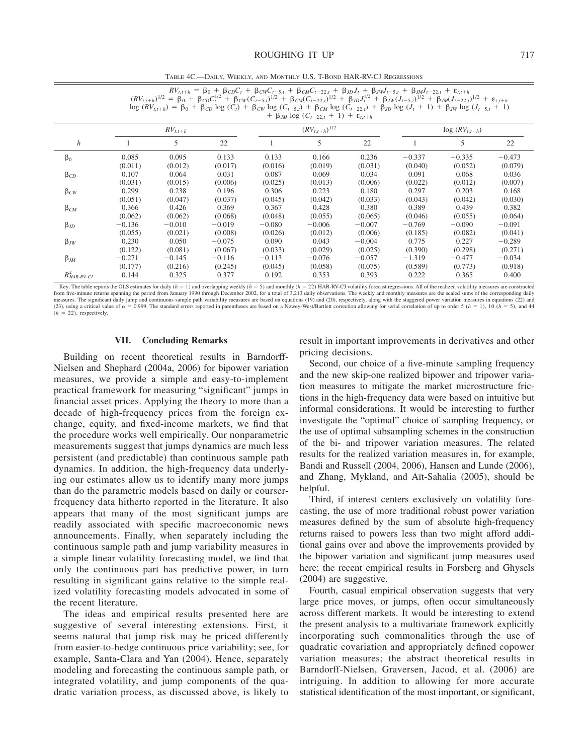| $RV_{t,t+h} = \beta_0 + \beta_{CD}C_t + \beta_{CW}C_{t-5,t} + \beta_{CM}C_{t-22,t} + \beta_{JD}J_t + \beta_{JW}J_{t-5,t} + \beta_{JM}J_{t-22,t} + \varepsilon_{t,t+h}$<br>$(RV_{t,t+h})^{1/2} = \beta_0 + \beta_{CD}C_t^{1/2} + \beta_{CW}(C_{t-5,t})^{1/2} + \beta_{CM}(C_{t-22,t})^{1/2} + \beta_{JD}J_t^{1/2} + \beta_{JW}(J_{t-5,t})^{1/2} + \beta_{JM}(J_{t-22,t})^{1/2} + \epsilon_{t,t+h}$<br>$\log (RV_{t,t+h}) = \beta_0 + \beta_{CD} \log (C_t) + \beta_{CW} \log (C_{t-5,t}) + \beta_{CM} \log (C_{t-22,t}) + \beta_{JD} \log (J_t + 1) + \beta_{JW} \log (J_{t-5,t} + 1)$<br>+ $\beta_{JM}$ log $(C_{t-22,t} + 1)$ + $\varepsilon_{t,t+h}$ |                  |                  |                  |                      |                  |                  |                   |                  |                  |  |
|--------------------------------------------------------------------------------------------------------------------------------------------------------------------------------------------------------------------------------------------------------------------------------------------------------------------------------------------------------------------------------------------------------------------------------------------------------------------------------------------------------------------------------------------------------------------------------------------------------------------------------------------------------|------------------|------------------|------------------|----------------------|------------------|------------------|-------------------|------------------|------------------|--|
|                                                                                                                                                                                                                                                                                                                                                                                                                                                                                                                                                                                                                                                        | $RV_{t,t+h}$     |                  |                  | $(RV_{t,t+h})^{1/2}$ |                  |                  | $log(RV_{t,t+h})$ |                  |                  |  |
| $\boldsymbol{h}$                                                                                                                                                                                                                                                                                                                                                                                                                                                                                                                                                                                                                                       |                  | 5                | 22               |                      | 5                | 22               |                   | 5                | 22               |  |
| $\beta_0$                                                                                                                                                                                                                                                                                                                                                                                                                                                                                                                                                                                                                                              | 0.085            | 0.095            | 0.133            | 0.133                | 0.166            | 0.236            | $-0.337$          | $-0.335$         | $-0.473$         |  |
|                                                                                                                                                                                                                                                                                                                                                                                                                                                                                                                                                                                                                                                        | (0.011)          | (0.012)          | (0.017)          | (0.016)              | (0.019)          | (0.031)          | (0.040)           | (0.052)          | (0.079)          |  |
| $\beta_{CD}$                                                                                                                                                                                                                                                                                                                                                                                                                                                                                                                                                                                                                                           | 0.107<br>(0.031) | 0.064<br>(0.015) | 0.031<br>(0.006) | 0.087<br>(0.025)     | 0.069<br>(0.013) | 0.034<br>(0.006) | 0.091<br>(0.022)  | 0.068<br>(0.012) | 0.036            |  |
| $\beta_{CW}$                                                                                                                                                                                                                                                                                                                                                                                                                                                                                                                                                                                                                                           | 0.299            | 0.238            | 0.196            | 0.306                | 0.223            | 0.180            | 0.297             | 0.203            | (0.007)<br>0.168 |  |
| $\beta_{CM}$                                                                                                                                                                                                                                                                                                                                                                                                                                                                                                                                                                                                                                           | (0.051)          | (0.047)          | (0.037)          | (0.045)              | (0.042)          | (0.033)          | (0.043)           | (0.042)          | (0.030)          |  |
|                                                                                                                                                                                                                                                                                                                                                                                                                                                                                                                                                                                                                                                        | 0.366            | 0.426            | 0.369            | 0.367                | 0.428            | 0.380            | 0.389             | 0.439            | 0.382            |  |
| $\beta_{JD}$                                                                                                                                                                                                                                                                                                                                                                                                                                                                                                                                                                                                                                           | (0.062)          | (0.062)          | (0.068)          | (0.048)              | (0.055)          | (0.065)          | (0.046)           | (0.055)          | (0.064)          |  |
|                                                                                                                                                                                                                                                                                                                                                                                                                                                                                                                                                                                                                                                        | $-0.136$         | $-0.010$         | $-0.019$         | $-0.080$             | $-0.006$         | $-0.007$         | $-0.769$          | $-0.090$         | $-0.091$         |  |
| $\beta_{JW}$                                                                                                                                                                                                                                                                                                                                                                                                                                                                                                                                                                                                                                           | (0.055)          | (0.021)          | (0.008)          | (0.026)              | (0.012)          | (0.006)          | (0.185)           | (0.082)          | (0.041)          |  |
|                                                                                                                                                                                                                                                                                                                                                                                                                                                                                                                                                                                                                                                        | 0.230            | 0.050            | $-0.075$         | 0.090                | 0.043            | $-0.004$         | 0.775             | 0.227            | $-0.289$         |  |
| $\beta_{JM}$                                                                                                                                                                                                                                                                                                                                                                                                                                                                                                                                                                                                                                           | (0.122)          | (0.081)          | (0.067)          | (0.033)              | (0.029)          | (0.025)          | (0.390)           | (0.298)          | (0.271)          |  |
|                                                                                                                                                                                                                                                                                                                                                                                                                                                                                                                                                                                                                                                        | $-0.271$         | $-0.145$         | $-0.116$         | $-0.113$             | $-0.076$         | $-0.057$         | $-1.319$          | $-0.477$         | $-0.034$         |  |
| $R_{HAR-RV-CJ}^2$                                                                                                                                                                                                                                                                                                                                                                                                                                                                                                                                                                                                                                      | (0.177)          | (0.216)          | (0.245)          | (0.045)              | (0.058)          | (0.075)          | (0.589)           | (0.773)          | (0.918)          |  |
|                                                                                                                                                                                                                                                                                                                                                                                                                                                                                                                                                                                                                                                        | 0.144            | 0.325            | 0.377            | 0.192                | 0.353            | 0.393            | 0.222             | 0.365            | 0.400            |  |

TABLE 4C.—DAILY, WEEKLY, AND MONTHLY U.S. T-BOND HAR-RV-CJ REGRESSIONS

Key: The table reports the OLS estimates for daily  $(h = 1)$  and overlapping weekly  $(h = 5)$  and monthly  $(h = 22)$  HAR-RV-CJ volatility forecast regressions. All of the realized volatility measures are constructed from five-minute returns spanning the period from January 1990 through December 2002, for a total of 3,213 daily observations. The weekly and monthly measures are the scaled sums of the corresponding daily<br>measures. The si (23), using a critical value of  $\alpha = 0.999$ . The standard errors reported in parentheses are based on a Newey-West/Bartlett correction allowing for serial correlation of up to order 5 (*h* = 1), 10 (*h* = 5), and 44  $(h = 22)$ , respectively.

## **VII. Concluding Remarks**

Building on recent theoretical results in Barndorff-Nielsen and Shephard (2004a, 2006) for bipower variation measures, we provide a simple and easy-to-implement practical framework for measuring "significant" jumps in financial asset prices. Applying the theory to more than a decade of high-frequency prices from the foreign exchange, equity, and fixed-income markets, we find that the procedure works well empirically. Our nonparametric measurements suggest that jumps dynamics are much less persistent (and predictable) than continuous sample path dynamics. In addition, the high-frequency data underlying our estimates allow us to identify many more jumps than do the parametric models based on daily or courserfrequency data hitherto reported in the literature. It also appears that many of the most significant jumps are readily associated with specific macroeconomic news announcements. Finally, when separately including the continuous sample path and jump variability measures in a simple linear volatility forecasting model, we find that only the continuous part has predictive power, in turn resulting in significant gains relative to the simple realized volatility forecasting models advocated in some of the recent literature.

The ideas and empirical results presented here are suggestive of several interesting extensions. First, it seems natural that jump risk may be priced differently from easier-to-hedge continuous price variability; see, for example, Santa-Clara and Yan (2004). Hence, separately modeling and forecasting the continuous sample path, or integrated volatility, and jump components of the quadratic variation process, as discussed above, is likely to result in important improvements in derivatives and other pricing decisions.

Second, our choice of a five-minute sampling frequency and the new skip-one realized bipower and tripower variation measures to mitigate the market microstructure frictions in the high-frequency data were based on intuitive but informal considerations. It would be interesting to further investigate the "optimal" choice of sampling frequency, or the use of optimal subsampling schemes in the construction of the bi- and tripower variation measures. The related results for the realized variation measures in, for example, Bandi and Russell (2004, 2006), Hansen and Lunde (2006), and Zhang, Mykland, and Aït-Sahalia (2005), should be helpful.

Third, if interest centers exclusively on volatility forecasting, the use of more traditional robust power variation measures defined by the sum of absolute high-frequency returns raised to powers less than two might afford additional gains over and above the improvements provided by the bipower variation and significant jump measures used here; the recent empirical results in Forsberg and Ghysels (2004) are suggestive.

Fourth, casual empirical observation suggests that very large price moves, or jumps, often occur simultaneously across different markets. It would be interesting to extend the present analysis to a multivariate framework explicitly incorporating such commonalities through the use of quadratic covariation and appropriately defined copower variation measures; the abstract theoretical results in Barndorff-Nielsen, Graversen, Jacod, et al. (2006) are intriguing. In addition to allowing for more accurate statistical identification of the most important, or significant,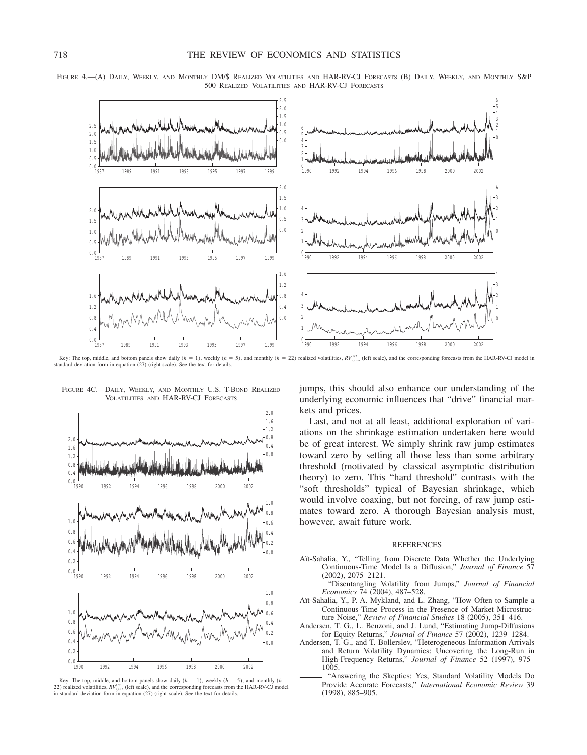

FIGURE 4.—(A) DAILY, WEEKLY, AND MONTHLY DM/\$ REALIZED VOLATILITIES AND HAR-RV-CJ FORECASTS (B) DAILY, WEEKLY, AND MONTHLY S&P 500 REALIZED VOLATILITIES AND HAR-RV-CJ FORECASTS

Key: The top, middle, and bottom panels show daily  $(h = 1)$ , weekly  $(h = 5)$ , and monthly  $(h = 22)$  realized volatilities,  $RV_{t,t+h}^{1/2}$  (left scale), and the corresponding forecasts from the HAR-RV-CJ model in standard deviation form in equation (27) (right scale). See the text for details.



FIGURE 4C.—DAILY, WEEKLY, AND MONTHLY U.S. T-BOND REALIZED VOLATILITIES AND HAR-RV-CJ FORECASTS

22) realized volatilities,  $RV_{t,t+h}^{1/2}$  (left scale), and the corresponding forecasts from the HAR-RV-CJ model in standard deviation form in equation (27) (right scale). See the text for details.

jumps, this should also enhance our understanding of the underlying economic influences that "drive" financial markets and prices.

Last, and not at all least, additional exploration of variations on the shrinkage estimation undertaken here would be of great interest. We simply shrink raw jump estimates toward zero by setting all those less than some arbitrary threshold (motivated by classical asymptotic distribution theory) to zero. This "hard threshold" contrasts with the "soft thresholds" typical of Bayesian shrinkage, which would involve coaxing, but not forcing, of raw jump estimates toward zero. A thorough Bayesian analysis must, however, await future work.

#### **REFERENCES**

- Aït-Sahalia, Y., "Telling from Discrete Data Whether the Underlying Continuous-Time Model Is a Diffusion," *Journal of Finance* 57 (2002), 2075–2121.
	- "Disentangling Volatility from Jumps," *Journal of Financial Economics* 74 (2004), 487–528.
- Aït-Sahalia, Y., P. A. Mykland, and L. Zhang, "How Often to Sample a Continuous-Time Process in the Presence of Market Microstructure Noise," *Review of Financial Studies* 18 (2005), 351–416.
- Andersen, T. G., L. Benzoni, and J. Lund, "Estimating Jump-Diffusions for Equity Returns," *Journal of Finance* 57 (2002), 1239–1284.
- Andersen, T. G., and T. Bollerslev, "Heterogeneous Information Arrivals and Return Volatility Dynamics: Uncovering the Long-Run in High-Frequency Returns," *Journal of Finance* 52 (1997), 975– 1005.
	- "Answering the Skeptics: Yes, Standard Volatility Models Do Provide Accurate Forecasts," *International Economic Review* 39 (1998), 885–905.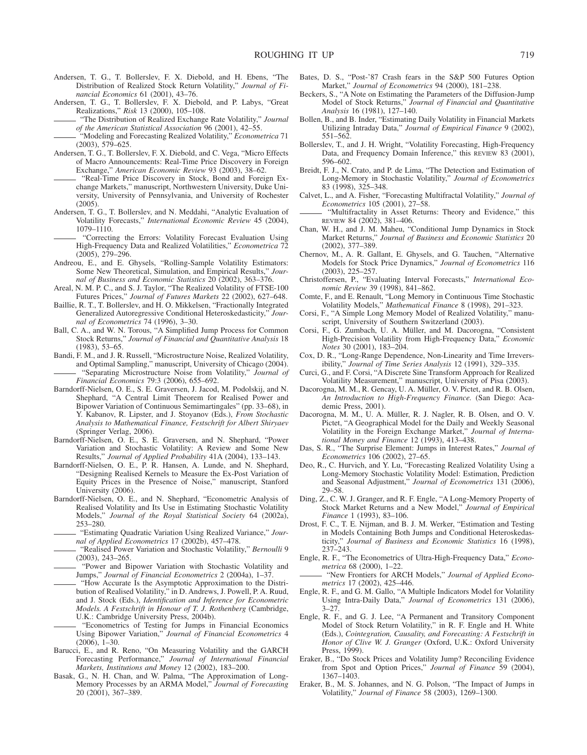- Andersen, T. G., T. Bollerslev, F. X. Diebold, and H. Ebens, "The Distribution of Realized Stock Return Volatility," *Journal of Financial Economics* 61 (2001), 43–76.
- Andersen, T. G., T. Bollerslev, F. X. Diebold, and P. Labys, "Great Realizations," *Risk* 13 (2000), 105–108.
	- "The Distribution of Realized Exchange Rate Volatility," *Journal of the American Statistical Association* 96 (2001), 42–55.
	- "Modeling and Forecasting Realized Volatility," *Econometrica* 71 (2003), 579–625.
- Andersen, T. G., T. Bollerslev, F. X. Diebold, and C. Vega, "Micro Effects of Macro Announcements: Real-Time Price Discovery in Foreign Exchange," *American Economic Review* 93 (2003), 38–62.
- "Real-Time Price Discovery in Stock, Bond and Foreign Exchange Markets," manuscript, Northwestern University, Duke University, University of Pennsylvania, and University of Rochester  $(2005)$ .
- Andersen, T. G., T. Bollerslev, and N. Meddahi, "Analytic Evaluation of Volatility Forecasts," *International Economic Review* 45 (2004), 1079–1110.
	- "Correcting the Errors: Volatility Forecast Evaluation Using High-Frequency Data and Realized Volatilities," *Econometrica* 72 (2005), 279–296.
- Andreou, E., and E. Ghysels, "Rolling-Sample Volatility Estimators: Some New Theoretical, Simulation, and Empirical Results," *Journal of Business and Economic Statistics* 20 (2002), 363–376.
- Areal, N. M. P. C., and S. J. Taylor, "The Realized Volatility of FTSE-100 Futures Prices," *Journal of Futures Markets* 22 (2002), 627–648.
- Baillie, R. T., T. Bollerslev, and H. O. Mikkelsen, "Fractionally Integrated Generalized Autoregressive Conditional Heteroskedasticity," *Journal of Econometrics* 74 (1996), 3–30.
- Ball, C. A., and W. N. Torous, "A Simplified Jump Process for Common Stock Returns," *Journal of Financial and Quantitative Analysis* 18 (1983), 53–65.
- Bandi, F. M., and J. R. Russell, "Microstructure Noise, Realized Volatility, and Optimal Sampling," manuscript, University of Chicago (2004). "Separating Microstructure Noise from Volatility," *Journal of Financial Economics* 79:3 (2006), 655–692.
- Barndorff-Nielsen, O. E., S. E. Graversen, J. Jacod, M. Podolskij, and N. Shephard, "A Central Limit Theorem for Realised Power and Bipower Variation of Continuous Semimartingales" (pp. 33–68), in Y. Kabanov, R. Lipster, and J. Stoyanov (Eds.), *From Stochastic Analysis to Mathematical Finance, Festschrift for Albert Shiryaev* (Springer Verlag, 2006).
- Barndorff-Nielsen, O. E., S. E. Graversen, and N. Shephard, "Power Variation and Stochastic Volatility: A Review and Some New Results," *Journal of Applied Probability* 41A (2004), 133–143.
- Barndorff-Nielsen, O. E., P. R. Hansen, A. Lunde, and N. Shephard, "Designing Realised Kernels to Measure the Ex-Post Variation of Equity Prices in the Presence of Noise," manuscript, Stanford University (2006).
- Barndorff-Nielsen, O. E., and N. Shephard, "Econometric Analysis of Realised Volatility and Its Use in Estimating Stochastic Volatility Models," *Journal of the Royal Statistical Society* 64 (2002a), 253–280.
- "Estimating Quadratic Variation Using Realized Variance," *Journal of Applied Econometrics* 17 (2002b), 457–478.
- "Realised Power Variation and Stochastic Volatility," *Bernoulli* 9 (2003), 243–265.
- "Power and Bipower Variation with Stochastic Volatility and Jumps," *Journal of Financial Econometrics* 2 (2004a), 1–37.
- "How Accurate Is the Asymptotic Approximation to the Distribution of Realised Volatility," in D. Andrews, J. Powell, P. A. Ruud, and J. Stock (Eds.), *Identification and Inference for Econometric Models. A Festschrift in Honour of T. J. Rothenberg* (Cambridge, U.K.: Cambridge University Press, 2004b).
- "Econometrics of Testing for Jumps in Financial Economics Using Bipower Variation," *Journal of Financial Econometrics* 4  $(2006)$ , 1–30.
- Barucci, E., and R. Reno, "On Measuring Volatility and the GARCH Forecasting Performance," *Journal of International Financial Markets, Institutions and Money* 12 (2002), 183–200.
- Basak, G., N. H. Chan, and W. Palma, "The Approximation of Long-Memory Processes by an ARMA Model," *Journal of Forecasting* 20 (2001), 367–389.
- Bates, D. S., "Post-'87 Crash fears in the S&P 500 Futures Option Market," *Journal of Econometrics* 94 (2000), 181–238.
- Beckers, S., "A Note on Estimating the Parameters of the Diffusion-Jump Model of Stock Returns," *Journal of Financial and Quantitative Analysis* 16 (1981), 127–140.
- Bollen, B., and B. Inder, "Estimating Daily Volatility in Financial Markets Utilizing Intraday Data," *Journal of Empirical Finance* 9 (2002), 551–562.
- Bollerslev, T., and J. H. Wright, "Volatility Forecasting, High-Frequency Data, and Frequency Domain Inference," this REVIEW 83 (2001), 596–602.
- Breidt, F. J., N. Crato, and P. de Lima, "The Detection and Estimation of Long-Memory in Stochastic Volatility," *Journal of Econometrics* 83 (1998), 325–348.
- Calvet, L., and A. Fisher, "Forecasting Multifractal Volatility," *Journal of Econometrics* 105 (2001), 27–58.
	- "Multifractality in Asset Returns: Theory and Evidence," this REVIEW 84 (2002), 381–406.
- Chan, W. H., and J. M. Maheu, "Conditional Jump Dynamics in Stock Market Returns," *Journal of Business and Economic Statistics* 20 (2002), 377–389.
- Chernov, M., A. R. Gallant, E. Ghysels, and G. Tauchen, "Alternative Models for Stock Price Dynamics," *Journal of Econometrics* 116 (2003), 225–257.
- Christoffersen, P., "Evaluating Interval Forecasts," *International Economic Review* 39 (1998), 841–862.
- Comte, F., and E. Renault, "Long Memory in Continuous Time Stochastic Volatility Models," *Mathematical Finance* 8 (1998), 291–323.
- Corsi, F., "A Simple Long Memory Model of Realized Volatility," manuscript, University of Southern Switzerland (2003).
- Corsi, F., G. Zumbach, U. A. Müller, and M. Dacorogna, "Consistent High-Precision Volatility from High-Frequency Data," *Economic Notes* 30 (2001), 183–204.
- Cox, D. R., "Long-Range Dependence, Non-Linearity and Time Irreversibility," *Journal of Time Series Analysis* 12 (1991), 329–335.
- Curci, G., and F. Corsi, "A Discrete Sine Transform Approach for Realized Volatility Measurement," manuscript, University of Pisa (2003).
- Dacorogna, M. M., R. Gencay, U. A. Müller, O. V. Pictet, and R. B. Olsen, *An Introduction to High-Frequency Finance.* (San Diego: Academic Press, 2001).
- Dacorogna, M. M., U. A. Müller, R. J. Nagler, R. B. Olsen, and O. V. Pictet, "A Geographical Model for the Daily and Weekly Seasonal Volatility in the Foreign Exchange Market," *Journal of International Money and Finance* 12 (1993), 413–438.
- Das, S. R., "The Surprise Element: Jumps in Interest Rates," *Journal of Econometrics* 106 (2002), 27–65.
- Deo, R., C. Hurvich, and Y. Lu, "Forecasting Realized Volatility Using a Long-Memory Stochastic Volatility Model: Estimation, Prediction and Seasonal Adjustment," *Journal of Econometrics* 131 (2006), 29–58.
- Ding, Z., C. W. J. Granger, and R. F. Engle, "A Long-Memory Property of Stock Market Returns and a New Model," *Journal of Empirical Finance* 1 (1993), 83–106.
- Drost, F. C., T. E. Nijman, and B. J. M. Werker, "Estimation and Testing in Models Containing Both Jumps and Conditional Heteroskedasticity," *Journal of Business and Economic Statistics* 16 (1998), 237–243.
- Engle, R. F., "The Econometrics of Ultra-High-Frequency Data," *Econometrica* 68 (2000), 1–22.
- "New Frontiers for ARCH Models," *Journal of Applied Econometrics* 17 (2002), 425–446.
- Engle, R. F., and G. M. Gallo, "A Multiple Indicators Model for Volatility Using Intra-Daily Data," *Journal of Econometrics* 131 (2006),  $3 - 27$
- Engle, R. F., and G. J. Lee, "A Permanent and Transitory Component Model of Stock Return Volatility," in R. F. Engle and H. White (Eds.), *Cointegration, Causality, and Forecasting: A Festschrift in Honor of Clive W. J. Granger* (Oxford, U.K.: Oxford University Press, 1999).
- Eraker, B., "Do Stock Prices and Volatility Jump? Reconciling Evidence from Spot and Option Prices," *Journal of Finance* 59 (2004), 1367–1403.
- Eraker, B., M. S. Johannes, and N. G. Polson, "The Impact of Jumps in Volatility," *Journal of Finance* 58 (2003), 1269–1300.